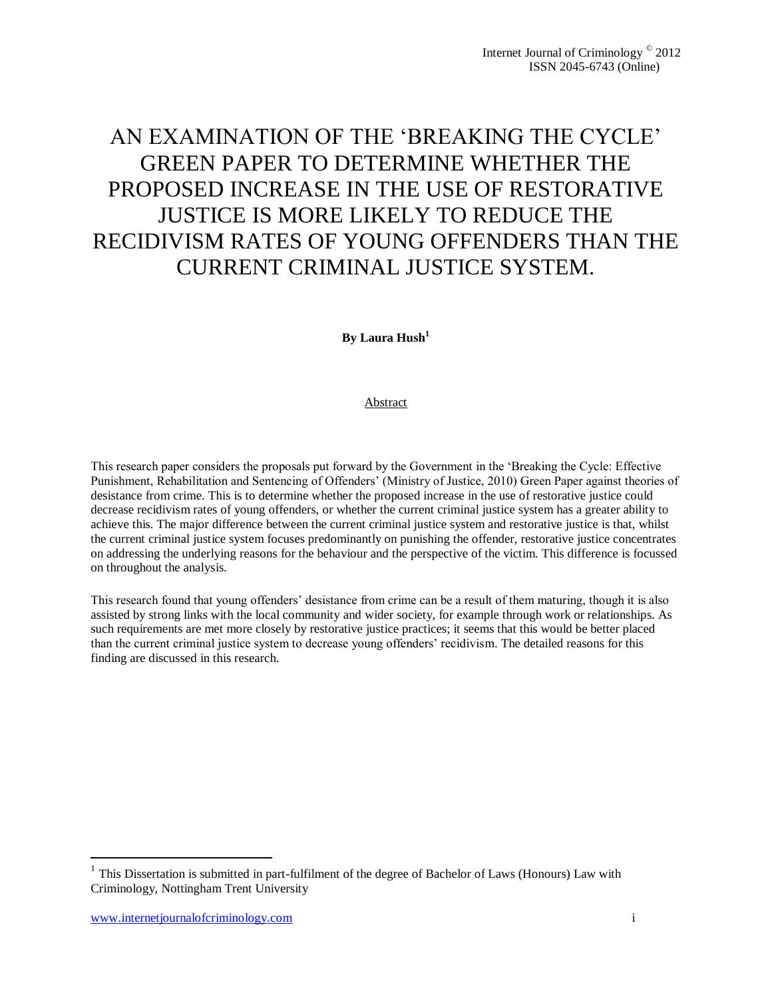# AN EXAMINATION OF THE 'BREAKING THE CYCLE' GREEN PAPER TO DETERMINE WHETHER THE PROPOSED INCREASE IN THE USE OF RESTORATIVE JUSTICE IS MORE LIKELY TO REDUCE THE RECIDIVISM RATES OF YOUNG OFFENDERS THAN THE CURRENT CRIMINAL JUSTICE SYSTEM.

**By Laura Hush<sup>1</sup>**

#### Abstract

This research paper considers the proposals put forward by the Government in the 'Breaking the Cycle: Effective Punishment, Rehabilitation and Sentencing of Offenders' (Ministry of Justice, 2010) Green Paper against theories of desistance from crime. This is to determine whether the proposed increase in the use of restorative justice could decrease recidivism rates of young offenders, or whether the current criminal justice system has a greater ability to achieve this. The major difference between the current criminal justice system and restorative justice is that, whilst the current criminal justice system focuses predominantly on punishing the offender, restorative justice concentrates on addressing the underlying reasons for the behaviour and the perspective of the victim. This difference is focussed on throughout the analysis.

This research found that young offenders' desistance from crime can be a result of them maturing, though it is also assisted by strong links with the local community and wider society, for example through work or relationships. As such requirements are met more closely by restorative justice practices; it seems that this would be better placed than the current criminal justice system to decrease young offenders' recidivism. The detailed reasons for this finding are discussed in this research.

 1 This Dissertation is submitted in part-fulfilment of the degree of Bachelor of Laws (Honours) Law with Criminology, Nottingham Trent University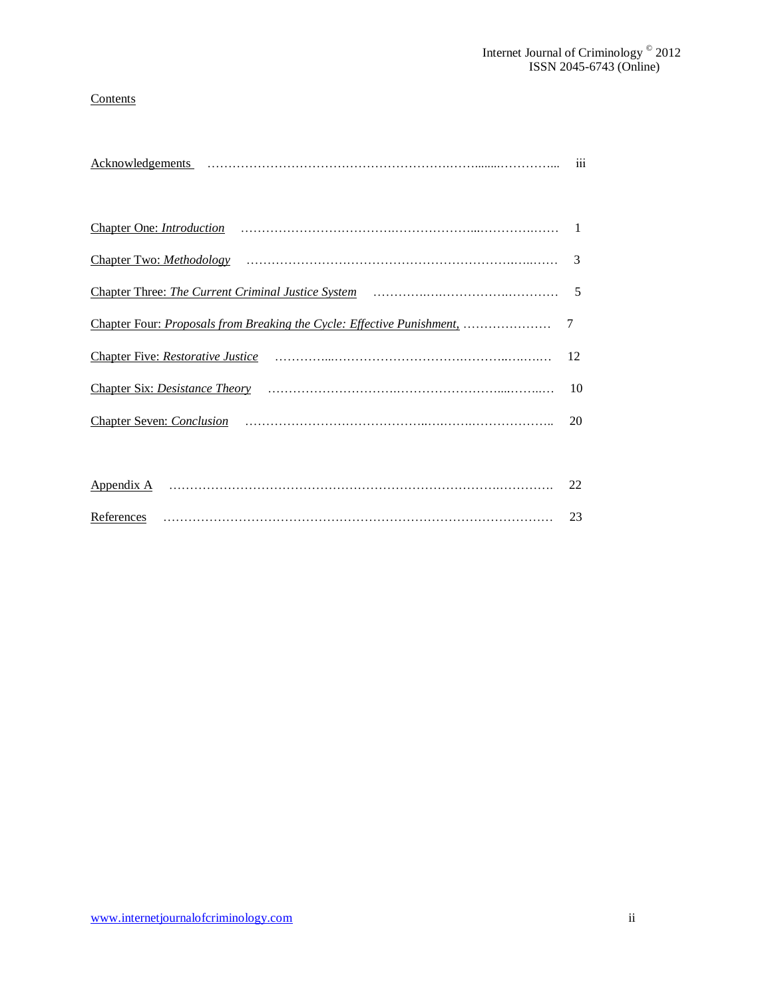## **Contents**

| Acknowledgements | $\ddotsc$ |
|------------------|-----------|
|                  |           |

|                                                                                | 3  |
|--------------------------------------------------------------------------------|----|
|                                                                                | 5  |
| Chapter Four: <i>Proposals from Breaking the Cycle: Effective Punishment, </i> | 7  |
| Chapter Five: <i>Restorative Justice</i>                                       | 12 |
| Chapter Six: Desistance Theory                                                 | 10 |
|                                                                                | 20 |
|                                                                                |    |

| Appendix A |  |
|------------|--|
| References |  |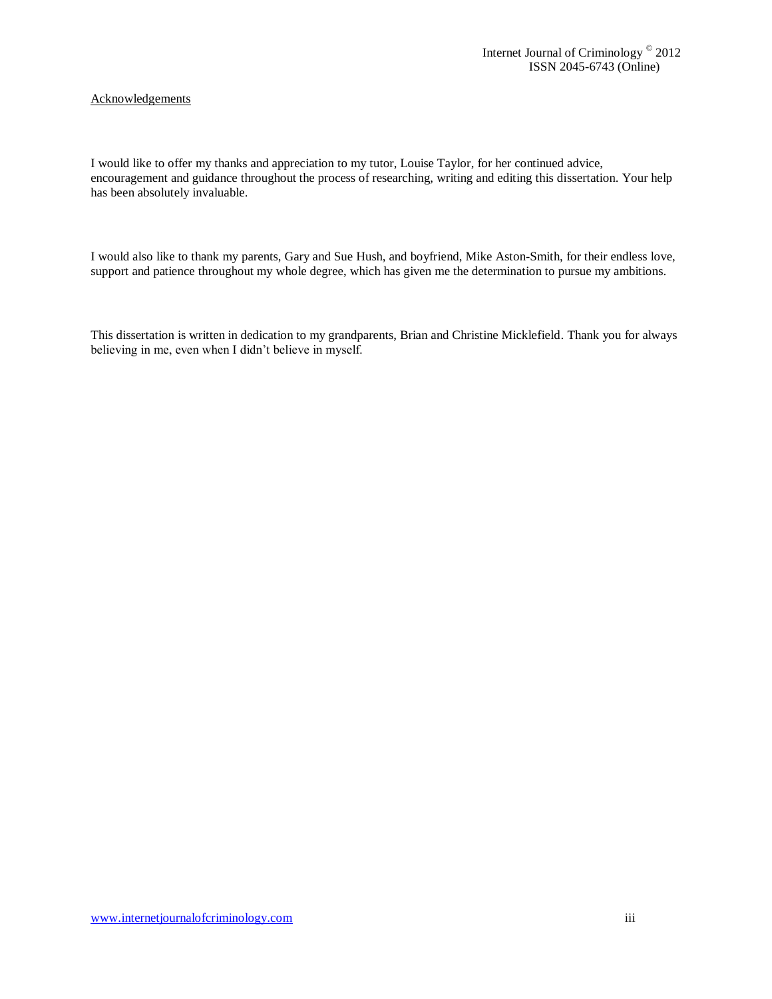#### Acknowledgements

I would like to offer my thanks and appreciation to my tutor, Louise Taylor, for her continued advice, encouragement and guidance throughout the process of researching, writing and editing this dissertation. Your help has been absolutely invaluable.

I would also like to thank my parents, Gary and Sue Hush, and boyfriend, Mike Aston-Smith, for their endless love, support and patience throughout my whole degree, which has given me the determination to pursue my ambitions.

This dissertation is written in dedication to my grandparents, Brian and Christine Micklefield. Thank you for always believing in me, even when I didn't believe in myself.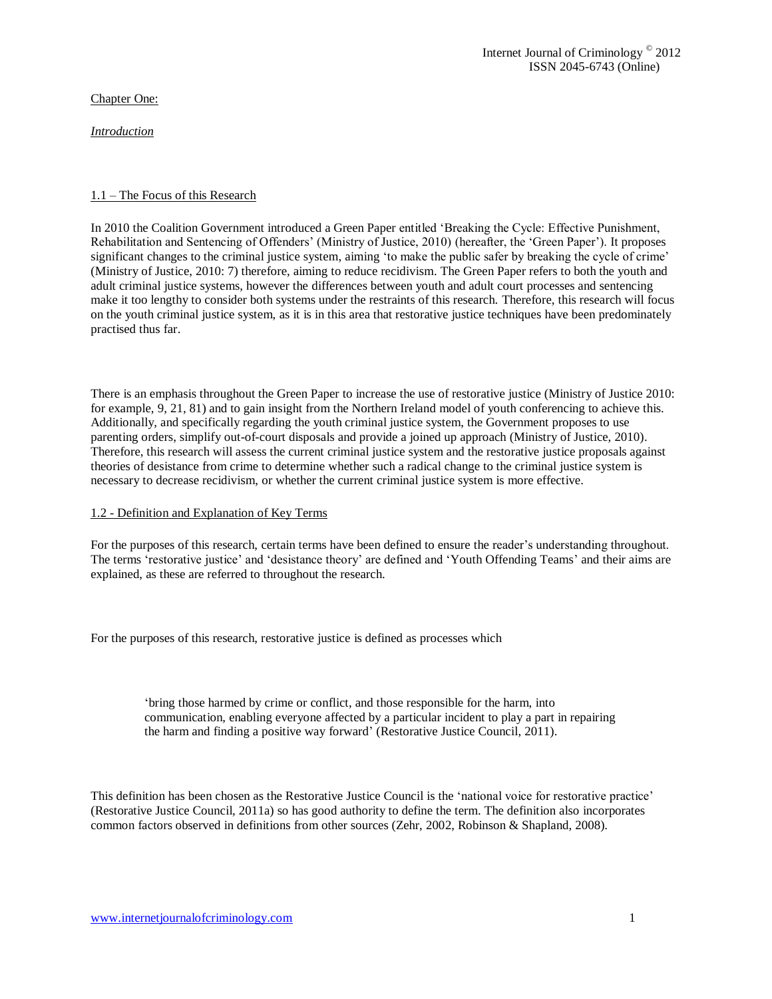Chapter One:

*Introduction*

#### 1.1 – The Focus of this Research

In 2010 the Coalition Government introduced a Green Paper entitled 'Breaking the Cycle: Effective Punishment, Rehabilitation and Sentencing of Offenders' (Ministry of Justice, 2010) (hereafter, the 'Green Paper'). It proposes significant changes to the criminal justice system, aiming 'to make the public safer by breaking the cycle of crime' (Ministry of Justice, 2010: 7) therefore, aiming to reduce recidivism. The Green Paper refers to both the youth and adult criminal justice systems, however the differences between youth and adult court processes and sentencing make it too lengthy to consider both systems under the restraints of this research. Therefore, this research will focus on the youth criminal justice system, as it is in this area that restorative justice techniques have been predominately practised thus far.

There is an emphasis throughout the Green Paper to increase the use of restorative justice (Ministry of Justice 2010: for example, 9, 21, 81) and to gain insight from the Northern Ireland model of youth conferencing to achieve this. Additionally, and specifically regarding the youth criminal justice system, the Government proposes to use parenting orders, simplify out-of-court disposals and provide a joined up approach (Ministry of Justice, 2010). Therefore, this research will assess the current criminal justice system and the restorative justice proposals against theories of desistance from crime to determine whether such a radical change to the criminal justice system is necessary to decrease recidivism, or whether the current criminal justice system is more effective.

## 1.2 - Definition and Explanation of Key Terms

For the purposes of this research, certain terms have been defined to ensure the reader's understanding throughout. The terms 'restorative justice' and 'desistance theory' are defined and 'Youth Offending Teams' and their aims are explained, as these are referred to throughout the research.

For the purposes of this research, restorative justice is defined as processes which

'bring those harmed by crime or conflict, and those responsible for the harm, into communication, enabling everyone affected by a particular incident to play a part in repairing the harm and finding a positive way forward' (Restorative Justice Council, 2011).

This definition has been chosen as the Restorative Justice Council is the 'national voice for restorative practice' (Restorative Justice Council, 2011a) so has good authority to define the term. The definition also incorporates common factors observed in definitions from other sources (Zehr, 2002, Robinson & Shapland, 2008).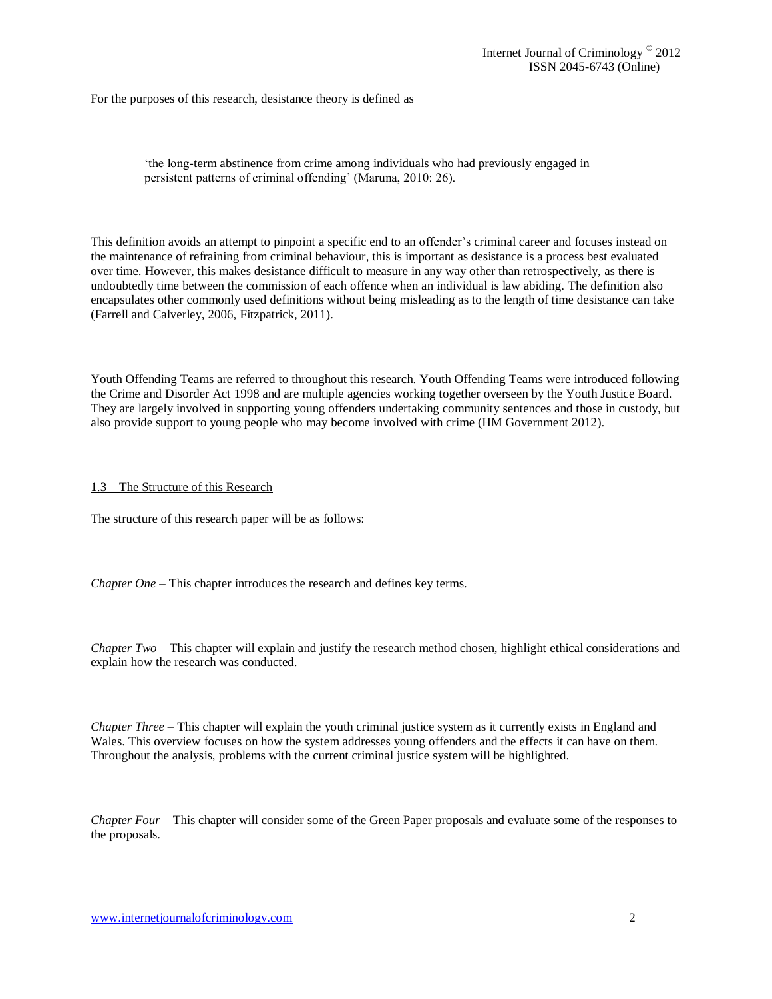For the purposes of this research, desistance theory is defined as

```
'the long-term abstinence from crime among individuals who had previously engaged in 
persistent patterns of criminal offending' (Maruna, 2010: 26).
```
This definition avoids an attempt to pinpoint a specific end to an offender's criminal career and focuses instead on the maintenance of refraining from criminal behaviour, this is important as desistance is a process best evaluated over time. However, this makes desistance difficult to measure in any way other than retrospectively, as there is undoubtedly time between the commission of each offence when an individual is law abiding. The definition also encapsulates other commonly used definitions without being misleading as to the length of time desistance can take (Farrell and Calverley, 2006, Fitzpatrick, 2011).

Youth Offending Teams are referred to throughout this research. Youth Offending Teams were introduced following the Crime and Disorder Act 1998 and are multiple agencies working together overseen by the Youth Justice Board. They are largely involved in supporting young offenders undertaking community sentences and those in custody, but also provide support to young people who may become involved with crime (HM Government 2012).

#### 1.3 – The Structure of this Research

The structure of this research paper will be as follows:

*Chapter One* – This chapter introduces the research and defines key terms.

*Chapter Two* – This chapter will explain and justify the research method chosen, highlight ethical considerations and explain how the research was conducted.

*Chapter Three* – This chapter will explain the youth criminal justice system as it currently exists in England and Wales. This overview focuses on how the system addresses young offenders and the effects it can have on them. Throughout the analysis, problems with the current criminal justice system will be highlighted.

*Chapter Four* – This chapter will consider some of the Green Paper proposals and evaluate some of the responses to the proposals.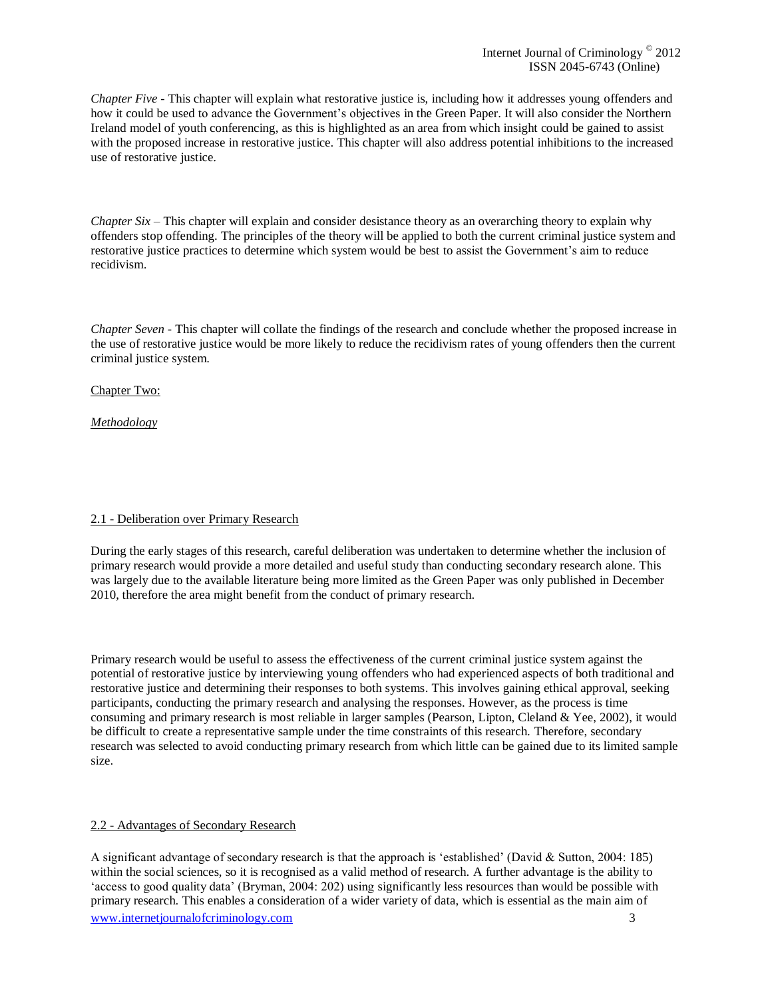*Chapter Five* - This chapter will explain what restorative justice is, including how it addresses young offenders and how it could be used to advance the Government's objectives in the Green Paper. It will also consider the Northern Ireland model of youth conferencing, as this is highlighted as an area from which insight could be gained to assist with the proposed increase in restorative justice. This chapter will also address potential inhibitions to the increased use of restorative justice.

*Chapter Six* – This chapter will explain and consider desistance theory as an overarching theory to explain why offenders stop offending. The principles of the theory will be applied to both the current criminal justice system and restorative justice practices to determine which system would be best to assist the Government's aim to reduce recidivism.

*Chapter Seven -* This chapter will collate the findings of the research and conclude whether the proposed increase in the use of restorative justice would be more likely to reduce the recidivism rates of young offenders then the current criminal justice system.

Chapter Two:

*Methodology*

## 2.1 - Deliberation over Primary Research

During the early stages of this research, careful deliberation was undertaken to determine whether the inclusion of primary research would provide a more detailed and useful study than conducting secondary research alone. This was largely due to the available literature being more limited as the Green Paper was only published in December 2010, therefore the area might benefit from the conduct of primary research.

Primary research would be useful to assess the effectiveness of the current criminal justice system against the potential of restorative justice by interviewing young offenders who had experienced aspects of both traditional and restorative justice and determining their responses to both systems. This involves gaining ethical approval, seeking participants, conducting the primary research and analysing the responses. However, as the process is time consuming and primary research is most reliable in larger samples (Pearson, Lipton, Cleland & Yee, 2002), it would be difficult to create a representative sample under the time constraints of this research. Therefore, secondary research was selected to avoid conducting primary research from which little can be gained due to its limited sample size.

## 2.2 - Advantages of Secondary Research

www.internetjournalofcriminology.com 3 A significant advantage of secondary research is that the approach is 'established' (David & Sutton, 2004: 185) within the social sciences, so it is recognised as a valid method of research. A further advantage is the ability to 'access to good quality data' (Bryman, 2004: 202) using significantly less resources than would be possible with primary research. This enables a consideration of a wider variety of data, which is essential as the main aim of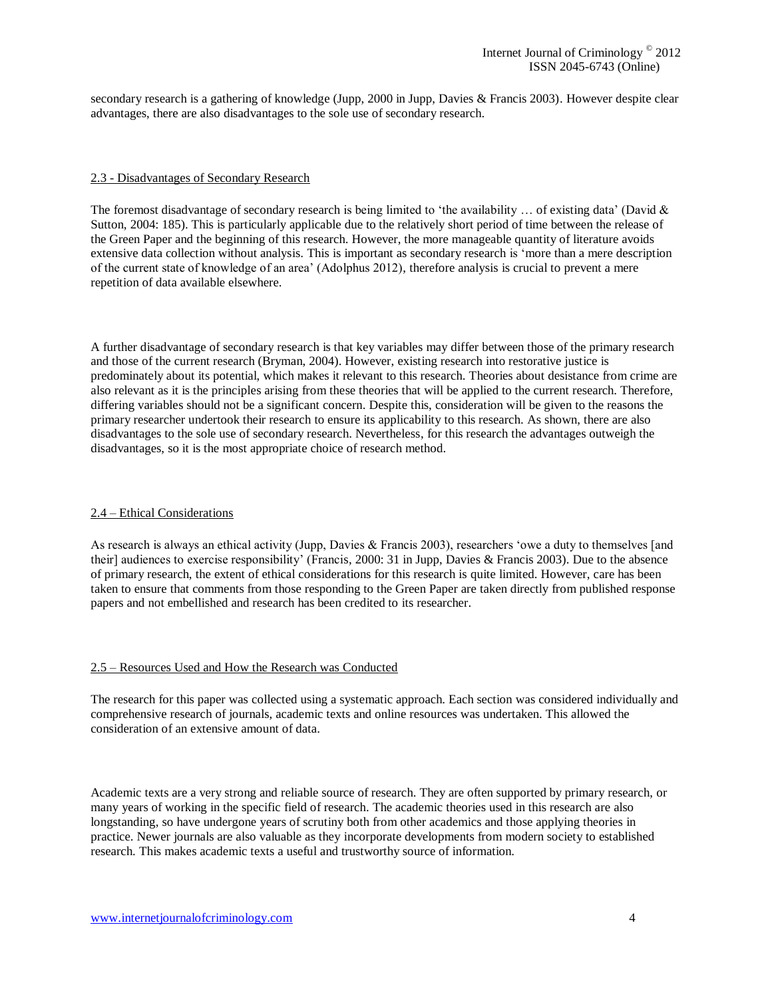secondary research is a gathering of knowledge (Jupp, 2000 in Jupp, Davies & Francis 2003). However despite clear advantages, there are also disadvantages to the sole use of secondary research.

#### 2.3 - Disadvantages of Secondary Research

The foremost disadvantage of secondary research is being limited to 'the availability ... of existing data' (David  $\&$ Sutton, 2004: 185). This is particularly applicable due to the relatively short period of time between the release of the Green Paper and the beginning of this research. However, the more manageable quantity of literature avoids extensive data collection without analysis. This is important as secondary research is 'more than a mere description of the current state of knowledge of an area' (Adolphus 2012), therefore analysis is crucial to prevent a mere repetition of data available elsewhere.

A further disadvantage of secondary research is that key variables may differ between those of the primary research and those of the current research (Bryman, 2004). However, existing research into restorative justice is predominately about its potential, which makes it relevant to this research. Theories about desistance from crime are also relevant as it is the principles arising from these theories that will be applied to the current research. Therefore, differing variables should not be a significant concern. Despite this, consideration will be given to the reasons the primary researcher undertook their research to ensure its applicability to this research. As shown, there are also disadvantages to the sole use of secondary research. Nevertheless, for this research the advantages outweigh the disadvantages, so it is the most appropriate choice of research method.

## 2.4 – Ethical Considerations

As research is always an ethical activity (Jupp, Davies & Francis 2003), researchers 'owe a duty to themselves [and their] audiences to exercise responsibility' (Francis, 2000: 31 in Jupp, Davies & Francis 2003). Due to the absence of primary research, the extent of ethical considerations for this research is quite limited. However, care has been taken to ensure that comments from those responding to the Green Paper are taken directly from published response papers and not embellished and research has been credited to its researcher.

#### 2.5 – Resources Used and How the Research was Conducted

The research for this paper was collected using a systematic approach. Each section was considered individually and comprehensive research of journals, academic texts and online resources was undertaken. This allowed the consideration of an extensive amount of data.

Academic texts are a very strong and reliable source of research. They are often supported by primary research, or many years of working in the specific field of research. The academic theories used in this research are also longstanding, so have undergone years of scrutiny both from other academics and those applying theories in practice. Newer journals are also valuable as they incorporate developments from modern society to established research. This makes academic texts a useful and trustworthy source of information.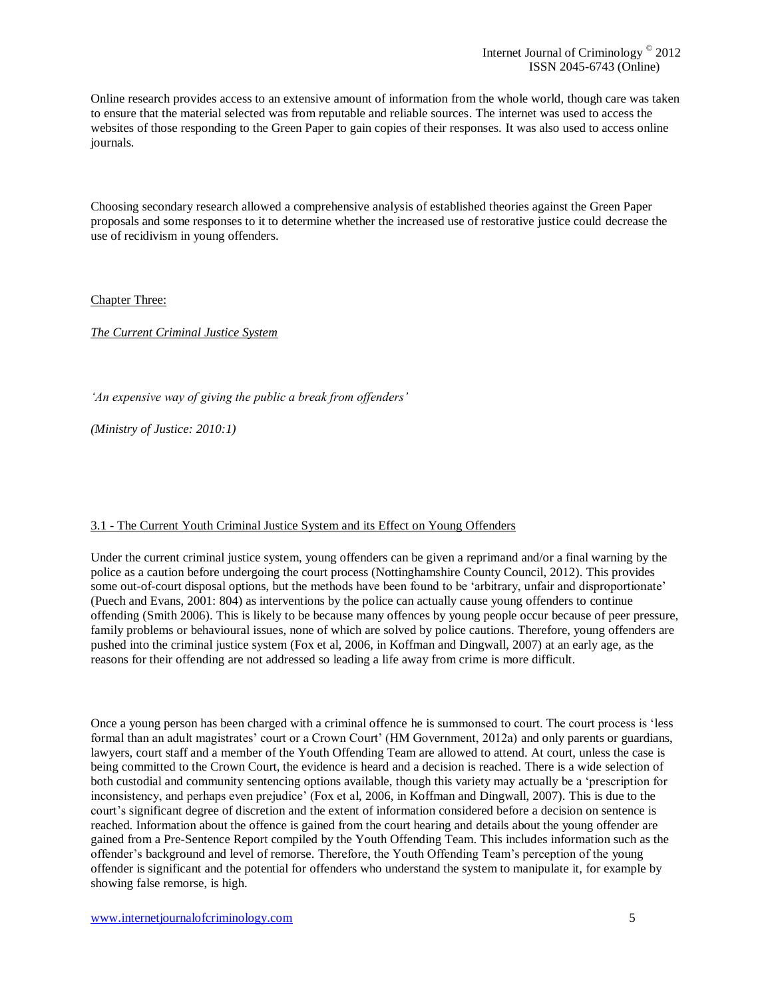Online research provides access to an extensive amount of information from the whole world, though care was taken to ensure that the material selected was from reputable and reliable sources. The internet was used to access the websites of those responding to the Green Paper to gain copies of their responses. It was also used to access online journals.

Choosing secondary research allowed a comprehensive analysis of established theories against the Green Paper proposals and some responses to it to determine whether the increased use of restorative justice could decrease the use of recidivism in young offenders.

Chapter Three:

*The Current Criminal Justice System*

*'An expensive way of giving the public a break from offenders'*

*(Ministry of Justice: 2010:1)*

#### 3.1 - The Current Youth Criminal Justice System and its Effect on Young Offenders

Under the current criminal justice system, young offenders can be given a reprimand and/or a final warning by the police as a caution before undergoing the court process (Nottinghamshire County Council, 2012). This provides some out-of-court disposal options, but the methods have been found to be 'arbitrary, unfair and disproportionate' (Puech and Evans, 2001: 804) as interventions by the police can actually cause young offenders to continue offending (Smith 2006). This is likely to be because many offences by young people occur because of peer pressure, family problems or behavioural issues, none of which are solved by police cautions. Therefore, young offenders are pushed into the criminal justice system (Fox et al, 2006, in Koffman and Dingwall, 2007) at an early age, as the reasons for their offending are not addressed so leading a life away from crime is more difficult.

Once a young person has been charged with a criminal offence he is summonsed to court. The court process is 'less formal than an adult magistrates' court or a Crown Court' (HM Government, 2012a) and only parents or guardians, lawyers, court staff and a member of the Youth Offending Team are allowed to attend. At court, unless the case is being committed to the Crown Court, the evidence is heard and a decision is reached. There is a wide selection of both custodial and community sentencing options available, though this variety may actually be a 'prescription for inconsistency, and perhaps even prejudice' (Fox et al, 2006, in Koffman and Dingwall, 2007). This is due to the court's significant degree of discretion and the extent of information considered before a decision on sentence is reached. Information about the offence is gained from the court hearing and details about the young offender are gained from a Pre-Sentence Report compiled by the Youth Offending Team. This includes information such as the offender's background and level of remorse. Therefore, the Youth Offending Team's perception of the young offender is significant and the potential for offenders who understand the system to manipulate it, for example by showing false remorse, is high.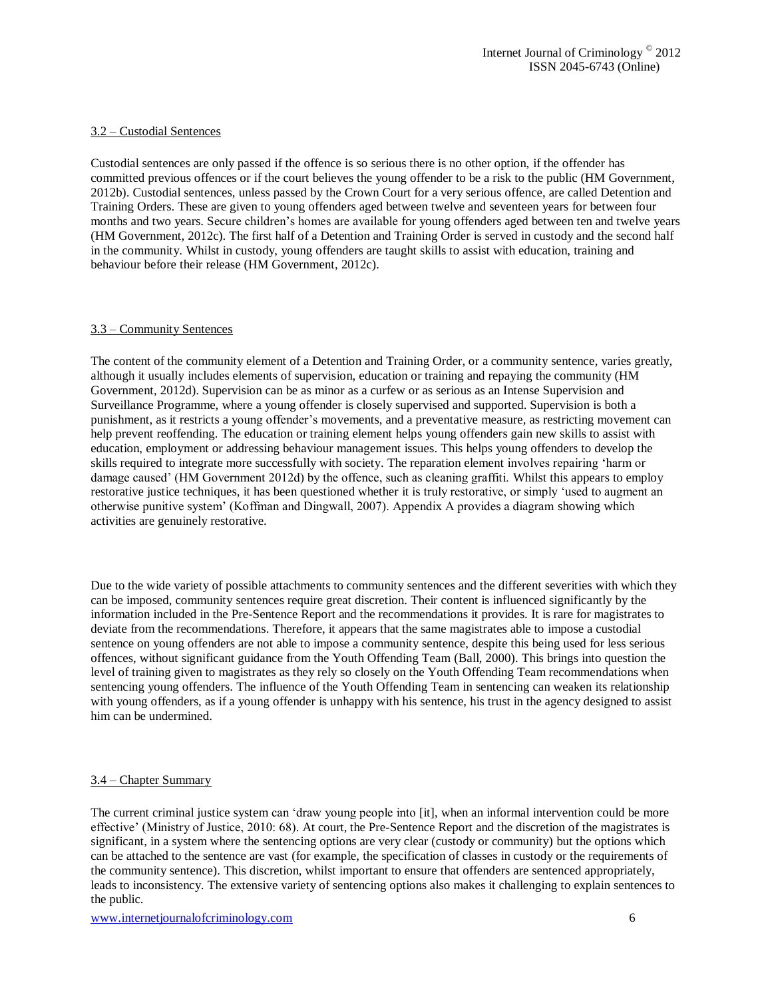#### 3.2 – Custodial Sentences

Custodial sentences are only passed if the offence is so serious there is no other option, if the offender has committed previous offences or if the court believes the young offender to be a risk to the public (HM Government, 2012b). Custodial sentences, unless passed by the Crown Court for a very serious offence, are called Detention and Training Orders. These are given to young offenders aged between twelve and seventeen years for between four months and two years. Secure children's homes are available for young offenders aged between ten and twelve years (HM Government, 2012c). The first half of a Detention and Training Order is served in custody and the second half in the community. Whilst in custody, young offenders are taught skills to assist with education, training and behaviour before their release (HM Government, 2012c).

#### 3.3 – Community Sentences

The content of the community element of a Detention and Training Order, or a community sentence, varies greatly, although it usually includes elements of supervision, education or training and repaying the community (HM Government, 2012d). Supervision can be as minor as a curfew or as serious as an Intense Supervision and Surveillance Programme, where a young offender is closely supervised and supported. Supervision is both a punishment, as it restricts a young offender's movements, and a preventative measure, as restricting movement can help prevent reoffending. The education or training element helps young offenders gain new skills to assist with education, employment or addressing behaviour management issues. This helps young offenders to develop the skills required to integrate more successfully with society. The reparation element involves repairing 'harm or damage caused' (HM Government 2012d) by the offence, such as cleaning graffiti. Whilst this appears to employ restorative justice techniques, it has been questioned whether it is truly restorative, or simply 'used to augment an otherwise punitive system' (Koffman and Dingwall, 2007). Appendix A provides a diagram showing which activities are genuinely restorative.

Due to the wide variety of possible attachments to community sentences and the different severities with which they can be imposed, community sentences require great discretion. Their content is influenced significantly by the information included in the Pre-Sentence Report and the recommendations it provides. It is rare for magistrates to deviate from the recommendations. Therefore, it appears that the same magistrates able to impose a custodial sentence on young offenders are not able to impose a community sentence, despite this being used for less serious offences, without significant guidance from the Youth Offending Team (Ball, 2000). This brings into question the level of training given to magistrates as they rely so closely on the Youth Offending Team recommendations when sentencing young offenders. The influence of the Youth Offending Team in sentencing can weaken its relationship with young offenders, as if a young offender is unhappy with his sentence, his trust in the agency designed to assist him can be undermined.

#### 3.4 – Chapter Summary

The current criminal justice system can 'draw young people into [it], when an informal intervention could be more effective' (Ministry of Justice, 2010: 68). At court, the Pre-Sentence Report and the discretion of the magistrates is significant, in a system where the sentencing options are very clear (custody or community) but the options which can be attached to the sentence are vast (for example, the specification of classes in custody or the requirements of the community sentence). This discretion, whilst important to ensure that offenders are sentenced appropriately, leads to inconsistency. The extensive variety of sentencing options also makes it challenging to explain sentences to the public.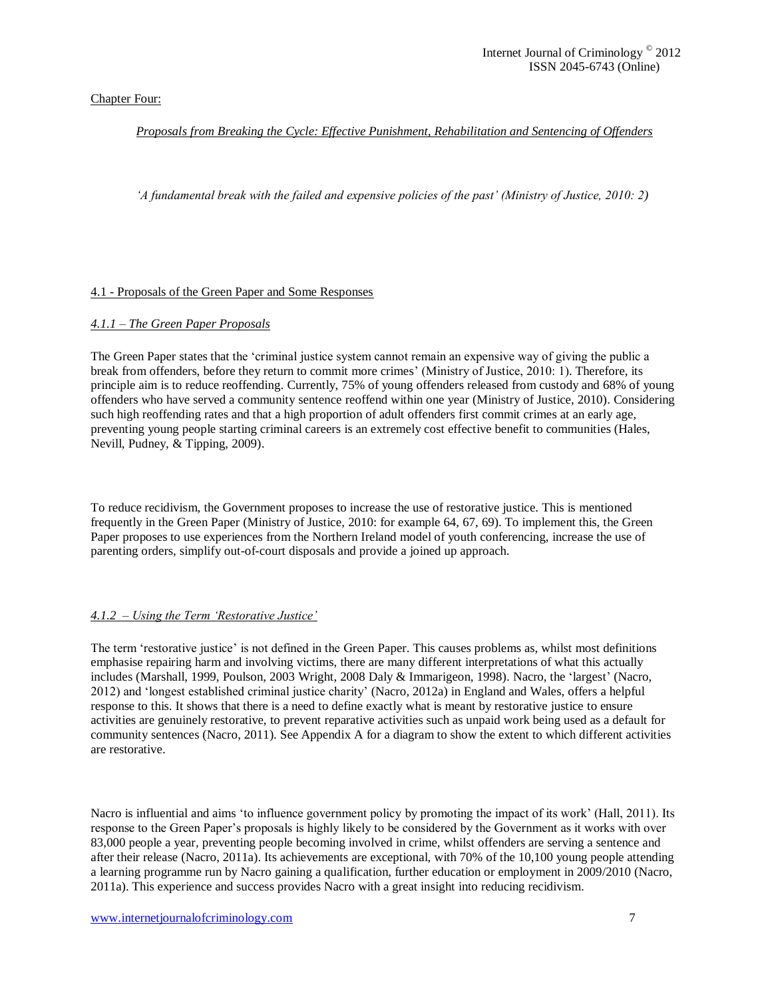Chapter Four:

*Proposals from Breaking the Cycle: Effective Punishment, Rehabilitation and Sentencing of Offenders*

*'A fundamental break with the failed and expensive policies of the past' (Ministry of Justice, 2010: 2)*

## 4.1 - Proposals of the Green Paper and Some Responses

#### *4.1.1 – The Green Paper Proposals*

The Green Paper states that the 'criminal justice system cannot remain an expensive way of giving the public a break from offenders, before they return to commit more crimes' (Ministry of Justice, 2010: 1). Therefore, its principle aim is to reduce reoffending. Currently, 75% of young offenders released from custody and 68% of young offenders who have served a community sentence reoffend within one year (Ministry of Justice, 2010). Considering such high reoffending rates and that a high proportion of adult offenders first commit crimes at an early age, preventing young people starting criminal careers is an extremely cost effective benefit to communities (Hales, Nevill, Pudney, & Tipping, 2009).

To reduce recidivism, the Government proposes to increase the use of restorative justice. This is mentioned frequently in the Green Paper (Ministry of Justice, 2010: for example 64, 67, 69). To implement this, the Green Paper proposes to use experiences from the Northern Ireland model of youth conferencing, increase the use of parenting orders, simplify out-of-court disposals and provide a joined up approach.

#### *4.1.2 – Using the Term 'Restorative Justice'*

The term 'restorative justice' is not defined in the Green Paper. This causes problems as, whilst most definitions emphasise repairing harm and involving victims, there are many different interpretations of what this actually includes (Marshall, 1999, Poulson, 2003 Wright, 2008 Daly & Immarigeon, 1998). Nacro, the 'largest' (Nacro, 2012) and 'longest established criminal justice charity' (Nacro, 2012a) in England and Wales, offers a helpful response to this. It shows that there is a need to define exactly what is meant by restorative justice to ensure activities are genuinely restorative, to prevent reparative activities such as unpaid work being used as a default for community sentences (Nacro, 2011). See Appendix A for a diagram to show the extent to which different activities are restorative.

Nacro is influential and aims 'to influence government policy by promoting the impact of its work' (Hall, 2011). Its response to the Green Paper's proposals is highly likely to be considered by the Government as it works with over 83,000 people a year, preventing people becoming involved in crime, whilst offenders are serving a sentence and after their release (Nacro, 2011a). Its achievements are exceptional, with 70% of the 10,100 young people attending a learning programme run by Nacro gaining a qualification, further education or employment in 2009/2010 (Nacro, 2011a). This experience and success provides Nacro with a great insight into reducing recidivism.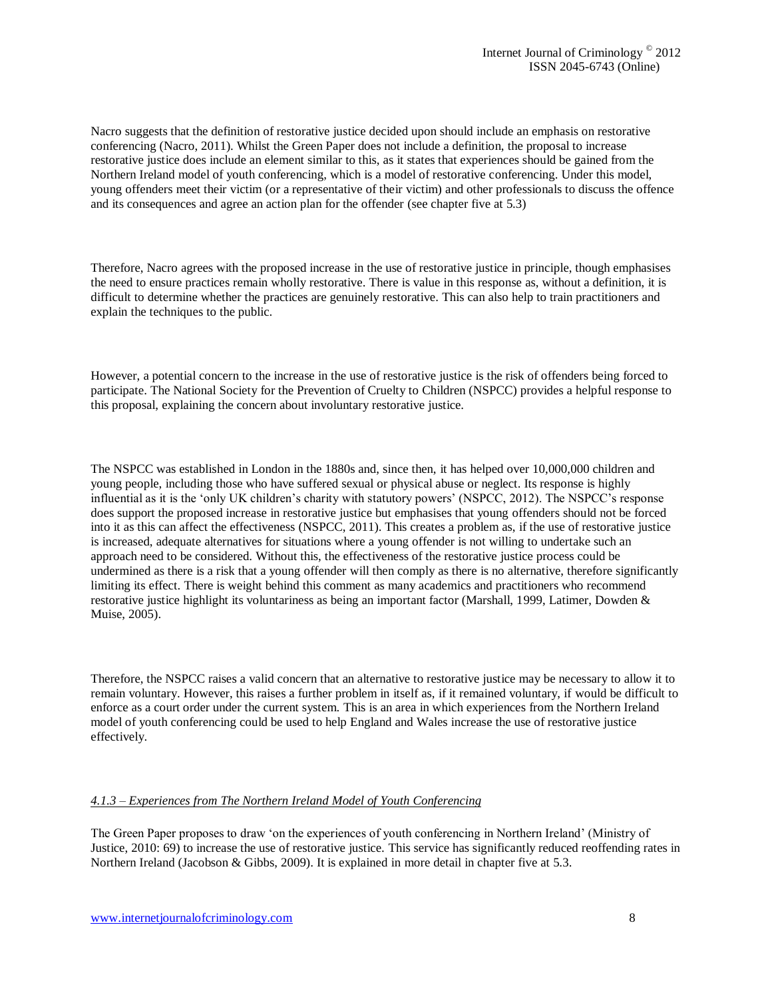Nacro suggests that the definition of restorative justice decided upon should include an emphasis on restorative conferencing (Nacro, 2011). Whilst the Green Paper does not include a definition, the proposal to increase restorative justice does include an element similar to this, as it states that experiences should be gained from the Northern Ireland model of youth conferencing, which is a model of restorative conferencing. Under this model, young offenders meet their victim (or a representative of their victim) and other professionals to discuss the offence and its consequences and agree an action plan for the offender (see chapter five at 5.3)

Therefore, Nacro agrees with the proposed increase in the use of restorative justice in principle, though emphasises the need to ensure practices remain wholly restorative. There is value in this response as, without a definition, it is difficult to determine whether the practices are genuinely restorative. This can also help to train practitioners and explain the techniques to the public.

However, a potential concern to the increase in the use of restorative justice is the risk of offenders being forced to participate. The National Society for the Prevention of Cruelty to Children (NSPCC) provides a helpful response to this proposal, explaining the concern about involuntary restorative justice.

The NSPCC was established in London in the 1880s and, since then, it has helped over 10,000,000 children and young people, including those who have suffered sexual or physical abuse or neglect. Its response is highly influential as it is the 'only UK children's charity with statutory powers' (NSPCC, 2012). The NSPCC's response does support the proposed increase in restorative justice but emphasises that young offenders should not be forced into it as this can affect the effectiveness (NSPCC, 2011). This creates a problem as, if the use of restorative justice is increased, adequate alternatives for situations where a young offender is not willing to undertake such an approach need to be considered. Without this, the effectiveness of the restorative justice process could be undermined as there is a risk that a young offender will then comply as there is no alternative, therefore significantly limiting its effect. There is weight behind this comment as many academics and practitioners who recommend restorative justice highlight its voluntariness as being an important factor (Marshall, 1999, Latimer, Dowden & Muise, 2005).

Therefore, the NSPCC raises a valid concern that an alternative to restorative justice may be necessary to allow it to remain voluntary. However, this raises a further problem in itself as, if it remained voluntary, if would be difficult to enforce as a court order under the current system. This is an area in which experiences from the Northern Ireland model of youth conferencing could be used to help England and Wales increase the use of restorative justice effectively.

#### *4.1.3 – Experiences from The Northern Ireland Model of Youth Conferencing*

The Green Paper proposes to draw 'on the experiences of youth conferencing in Northern Ireland' (Ministry of Justice, 2010: 69) to increase the use of restorative justice. This service has significantly reduced reoffending rates in Northern Ireland (Jacobson & Gibbs, 2009). It is explained in more detail in chapter five at 5.3.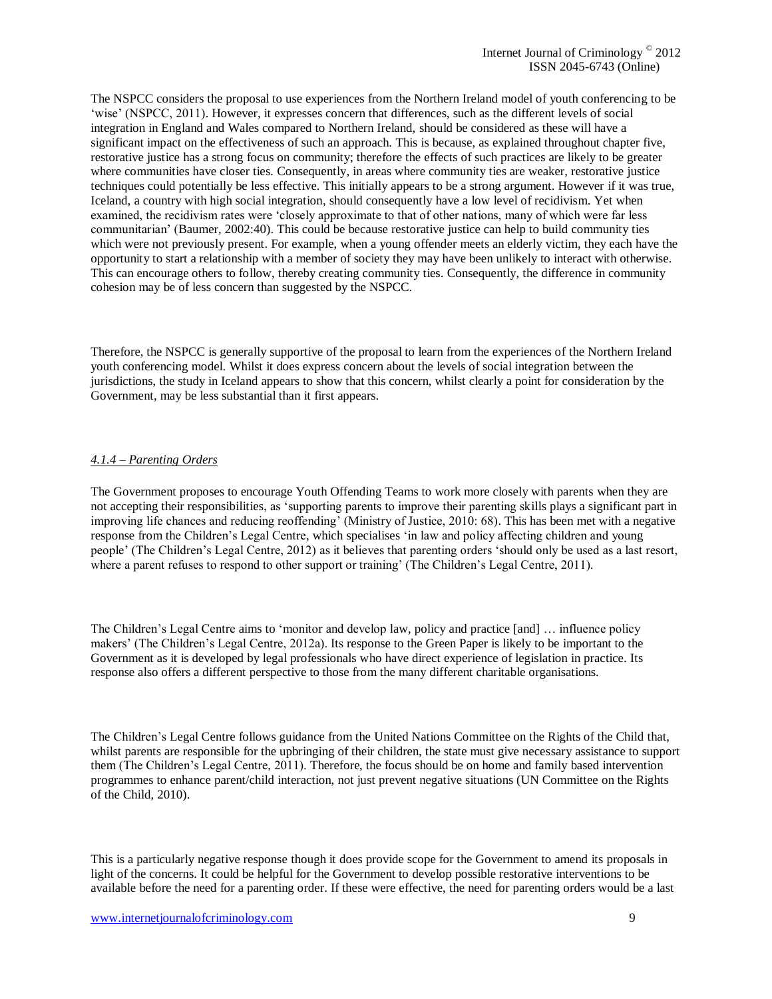The NSPCC considers the proposal to use experiences from the Northern Ireland model of youth conferencing to be 'wise' (NSPCC, 2011). However, it expresses concern that differences, such as the different levels of social integration in England and Wales compared to Northern Ireland, should be considered as these will have a significant impact on the effectiveness of such an approach. This is because, as explained throughout chapter five, restorative justice has a strong focus on community; therefore the effects of such practices are likely to be greater where communities have closer ties. Consequently, in areas where community ties are weaker, restorative justice techniques could potentially be less effective. This initially appears to be a strong argument. However if it was true, Iceland, a country with high social integration, should consequently have a low level of recidivism. Yet when examined, the recidivism rates were 'closely approximate to that of other nations, many of which were far less communitarian' (Baumer, 2002:40). This could be because restorative justice can help to build community ties which were not previously present. For example, when a young offender meets an elderly victim, they each have the opportunity to start a relationship with a member of society they may have been unlikely to interact with otherwise. This can encourage others to follow, thereby creating community ties. Consequently, the difference in community cohesion may be of less concern than suggested by the NSPCC.

Therefore, the NSPCC is generally supportive of the proposal to learn from the experiences of the Northern Ireland youth conferencing model. Whilst it does express concern about the levels of social integration between the jurisdictions, the study in Iceland appears to show that this concern, whilst clearly a point for consideration by the Government, may be less substantial than it first appears.

## *4.1.4 – Parenting Orders*

The Government proposes to encourage Youth Offending Teams to work more closely with parents when they are not accepting their responsibilities, as 'supporting parents to improve their parenting skills plays a significant part in improving life chances and reducing reoffending' (Ministry of Justice, 2010: 68). This has been met with a negative response from the Children's Legal Centre, which specialises 'in law and policy affecting children and young people' (The Children's Legal Centre, 2012) as it believes that parenting orders 'should only be used as a last resort, where a parent refuses to respond to other support or training' (The Children's Legal Centre, 2011).

The Children's Legal Centre aims to 'monitor and develop law, policy and practice [and] … influence policy makers' (The Children's Legal Centre, 2012a). Its response to the Green Paper is likely to be important to the Government as it is developed by legal professionals who have direct experience of legislation in practice. Its response also offers a different perspective to those from the many different charitable organisations.

The Children's Legal Centre follows guidance from the United Nations Committee on the Rights of the Child that, whilst parents are responsible for the upbringing of their children, the state must give necessary assistance to support them (The Children's Legal Centre, 2011). Therefore, the focus should be on home and family based intervention programmes to enhance parent/child interaction, not just prevent negative situations (UN Committee on the Rights of the Child, 2010).

This is a particularly negative response though it does provide scope for the Government to amend its proposals in light of the concerns. It could be helpful for the Government to develop possible restorative interventions to be available before the need for a parenting order. If these were effective, the need for parenting orders would be a last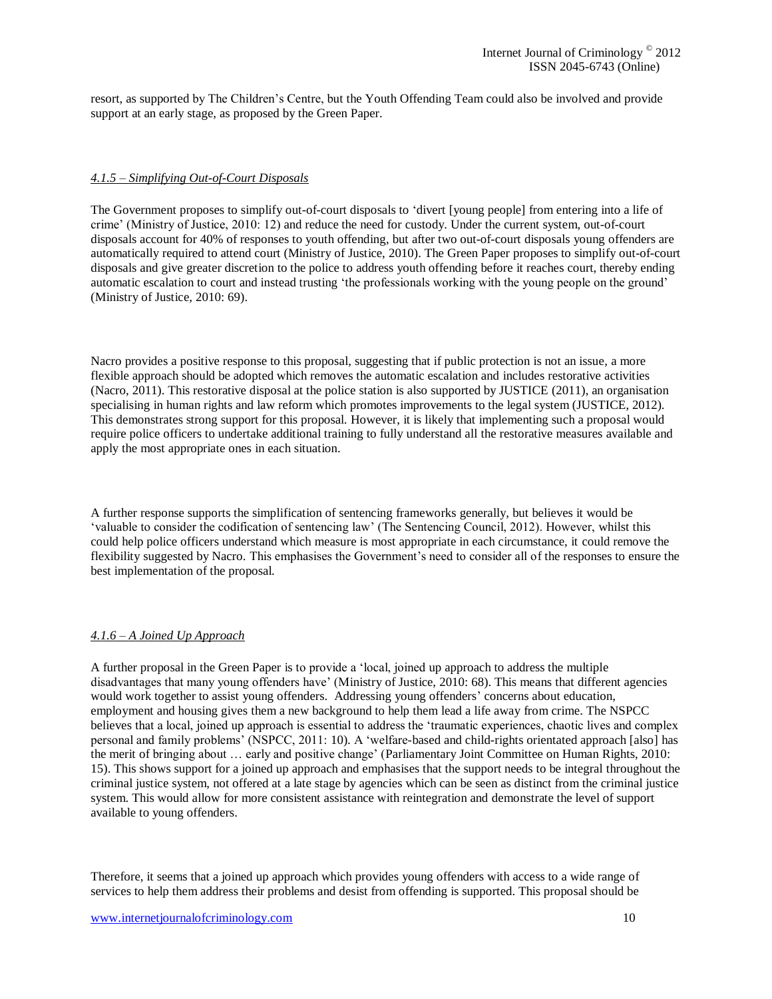resort, as supported by The Children's Centre, but the Youth Offending Team could also be involved and provide support at an early stage, as proposed by the Green Paper.

#### *4.1.5 – Simplifying Out-of-Court Disposals*

The Government proposes to simplify out-of-court disposals to 'divert [young people] from entering into a life of crime' (Ministry of Justice, 2010: 12) and reduce the need for custody. Under the current system, out-of-court disposals account for 40% of responses to youth offending, but after two out-of-court disposals young offenders are automatically required to attend court (Ministry of Justice, 2010). The Green Paper proposes to simplify out-of-court disposals and give greater discretion to the police to address youth offending before it reaches court, thereby ending automatic escalation to court and instead trusting 'the professionals working with the young people on the ground' (Ministry of Justice, 2010: 69).

Nacro provides a positive response to this proposal, suggesting that if public protection is not an issue, a more flexible approach should be adopted which removes the automatic escalation and includes restorative activities (Nacro, 2011). This restorative disposal at the police station is also supported by JUSTICE (2011), an organisation specialising in human rights and law reform which promotes improvements to the legal system (JUSTICE, 2012). This demonstrates strong support for this proposal. However, it is likely that implementing such a proposal would require police officers to undertake additional training to fully understand all the restorative measures available and apply the most appropriate ones in each situation.

A further response supports the simplification of sentencing frameworks generally, but believes it would be 'valuable to consider the codification of sentencing law' (The Sentencing Council, 2012). However, whilst this could help police officers understand which measure is most appropriate in each circumstance, it could remove the flexibility suggested by Nacro. This emphasises the Government's need to consider all of the responses to ensure the best implementation of the proposal.

## *4.1.6 – A Joined Up Approach*

A further proposal in the Green Paper is to provide a 'local, joined up approach to address the multiple disadvantages that many young offenders have' (Ministry of Justice, 2010: 68). This means that different agencies would work together to assist young offenders. Addressing young offenders' concerns about education, employment and housing gives them a new background to help them lead a life away from crime. The NSPCC believes that a local, joined up approach is essential to address the 'traumatic experiences, chaotic lives and complex personal and family problems' (NSPCC, 2011: 10). A 'welfare-based and child-rights orientated approach [also] has the merit of bringing about … early and positive change' (Parliamentary Joint Committee on Human Rights, 2010: 15). This shows support for a joined up approach and emphasises that the support needs to be integral throughout the criminal justice system, not offered at a late stage by agencies which can be seen as distinct from the criminal justice system. This would allow for more consistent assistance with reintegration and demonstrate the level of support available to young offenders.

Therefore, it seems that a joined up approach which provides young offenders with access to a wide range of services to help them address their problems and desist from offending is supported. This proposal should be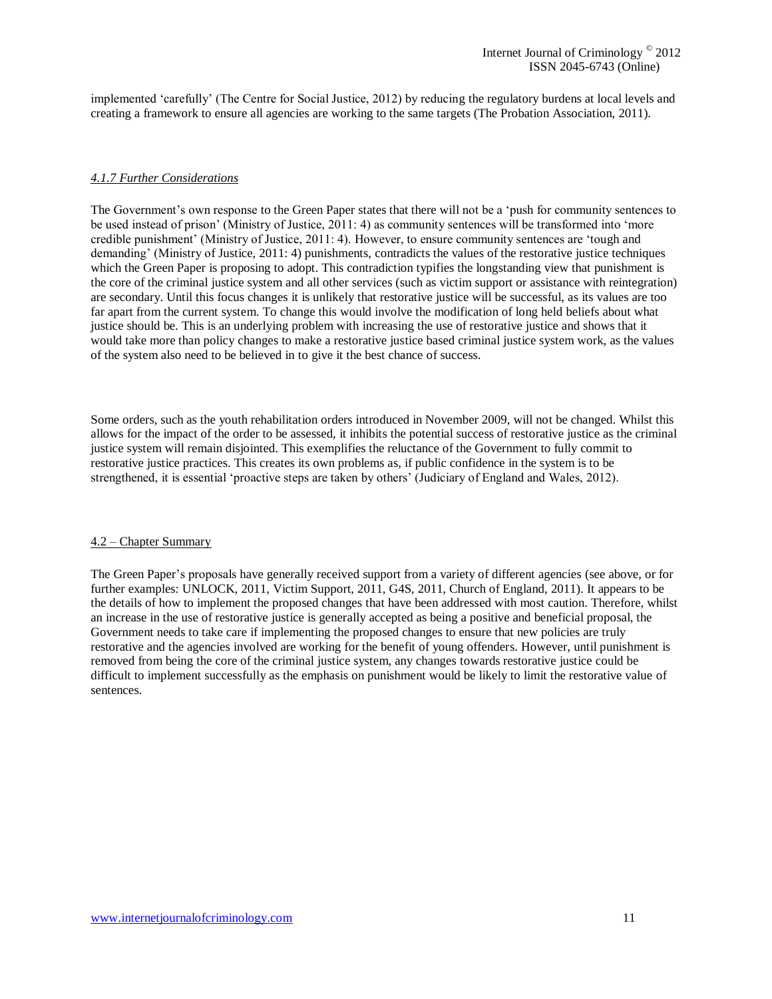implemented 'carefully' (The Centre for Social Justice, 2012) by reducing the regulatory burdens at local levels and creating a framework to ensure all agencies are working to the same targets (The Probation Association, 2011).

#### *4.1.7 Further Considerations*

The Government's own response to the Green Paper states that there will not be a 'push for community sentences to be used instead of prison' (Ministry of Justice, 2011: 4) as community sentences will be transformed into 'more credible punishment' (Ministry of Justice, 2011: 4). However, to ensure community sentences are 'tough and demanding' (Ministry of Justice, 2011: 4) punishments, contradicts the values of the restorative justice techniques which the Green Paper is proposing to adopt. This contradiction typifies the longstanding view that punishment is the core of the criminal justice system and all other services (such as victim support or assistance with reintegration) are secondary. Until this focus changes it is unlikely that restorative justice will be successful, as its values are too far apart from the current system. To change this would involve the modification of long held beliefs about what justice should be. This is an underlying problem with increasing the use of restorative justice and shows that it would take more than policy changes to make a restorative justice based criminal justice system work, as the values of the system also need to be believed in to give it the best chance of success.

Some orders, such as the youth rehabilitation orders introduced in November 2009, will not be changed. Whilst this allows for the impact of the order to be assessed, it inhibits the potential success of restorative justice as the criminal justice system will remain disjointed. This exemplifies the reluctance of the Government to fully commit to restorative justice practices. This creates its own problems as, if public confidence in the system is to be strengthened, it is essential 'proactive steps are taken by others' (Judiciary of England and Wales, 2012).

#### 4.2 – Chapter Summary

The Green Paper's proposals have generally received support from a variety of different agencies (see above, or for further examples: UNLOCK, 2011, Victim Support, 2011, G4S, 2011, Church of England, 2011). It appears to be the details of how to implement the proposed changes that have been addressed with most caution. Therefore, whilst an increase in the use of restorative justice is generally accepted as being a positive and beneficial proposal, the Government needs to take care if implementing the proposed changes to ensure that new policies are truly restorative and the agencies involved are working for the benefit of young offenders. However, until punishment is removed from being the core of the criminal justice system, any changes towards restorative justice could be difficult to implement successfully as the emphasis on punishment would be likely to limit the restorative value of sentences.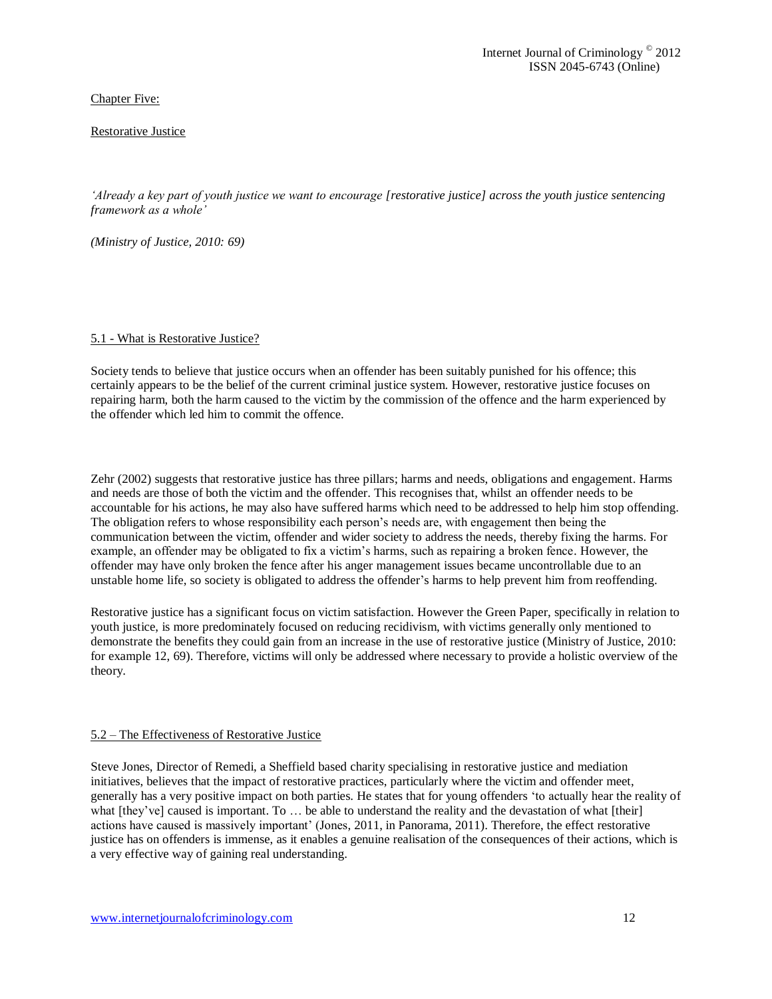Chapter Five:

## Restorative Justice

*'Already a key part of youth justice we want to encourage [restorative justice] across the youth justice sentencing framework as a whole'*

*(Ministry of Justice, 2010: 69)*

#### 5.1 - What is Restorative Justice?

Society tends to believe that justice occurs when an offender has been suitably punished for his offence; this certainly appears to be the belief of the current criminal justice system. However, restorative justice focuses on repairing harm, both the harm caused to the victim by the commission of the offence and the harm experienced by the offender which led him to commit the offence.

Zehr (2002) suggests that restorative justice has three pillars; harms and needs, obligations and engagement. Harms and needs are those of both the victim and the offender. This recognises that, whilst an offender needs to be accountable for his actions, he may also have suffered harms which need to be addressed to help him stop offending. The obligation refers to whose responsibility each person's needs are, with engagement then being the communication between the victim, offender and wider society to address the needs, thereby fixing the harms. For example, an offender may be obligated to fix a victim's harms, such as repairing a broken fence. However, the offender may have only broken the fence after his anger management issues became uncontrollable due to an unstable home life, so society is obligated to address the offender's harms to help prevent him from reoffending.

Restorative justice has a significant focus on victim satisfaction. However the Green Paper, specifically in relation to youth justice, is more predominately focused on reducing recidivism, with victims generally only mentioned to demonstrate the benefits they could gain from an increase in the use of restorative justice (Ministry of Justice, 2010: for example 12, 69). Therefore, victims will only be addressed where necessary to provide a holistic overview of the theory.

## 5.2 – The Effectiveness of Restorative Justice

Steve Jones, Director of Remedi, a Sheffield based charity specialising in restorative justice and mediation initiatives, believes that the impact of restorative practices, particularly where the victim and offender meet, generally has a very positive impact on both parties. He states that for young offenders 'to actually hear the reality of what [they've] caused is important. To ... be able to understand the reality and the devastation of what [their] actions have caused is massively important' (Jones, 2011, in Panorama, 2011). Therefore, the effect restorative justice has on offenders is immense, as it enables a genuine realisation of the consequences of their actions, which is a very effective way of gaining real understanding.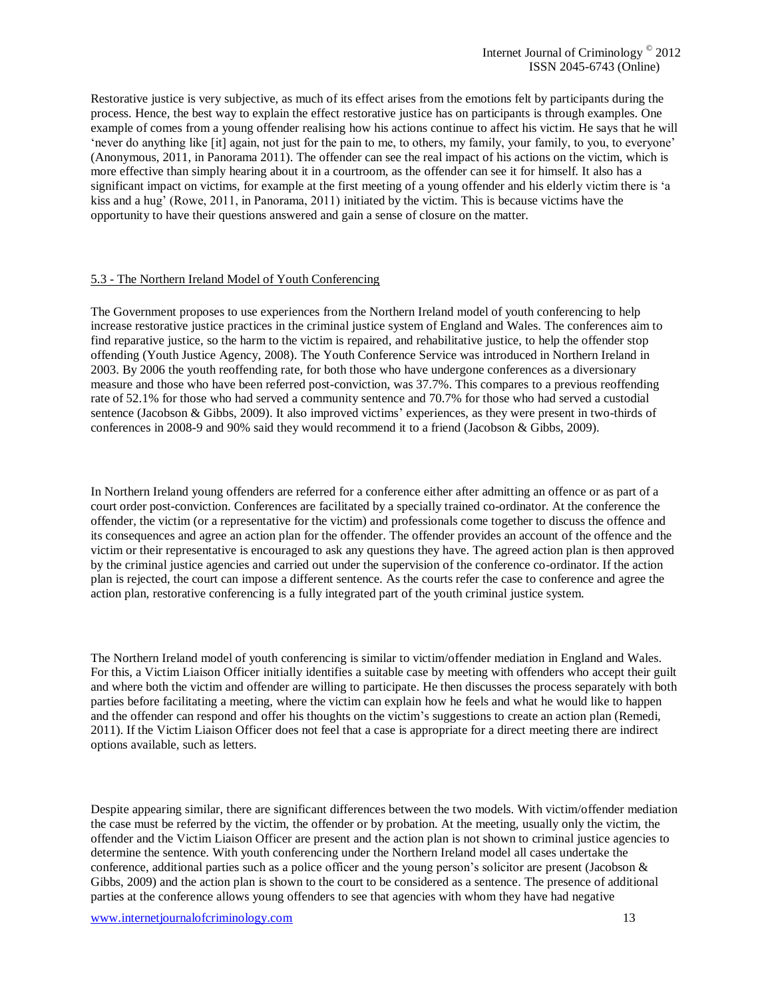Restorative justice is very subjective, as much of its effect arises from the emotions felt by participants during the process. Hence, the best way to explain the effect restorative justice has on participants is through examples. One example of comes from a young offender realising how his actions continue to affect his victim. He says that he will 'never do anything like [it] again, not just for the pain to me, to others, my family, your family, to you, to everyone' (Anonymous, 2011, in Panorama 2011). The offender can see the real impact of his actions on the victim, which is more effective than simply hearing about it in a courtroom, as the offender can see it for himself. It also has a significant impact on victims, for example at the first meeting of a young offender and his elderly victim there is 'a kiss and a hug' (Rowe, 2011, in Panorama, 2011) initiated by the victim. This is because victims have the opportunity to have their questions answered and gain a sense of closure on the matter.

#### 5.3 - The Northern Ireland Model of Youth Conferencing

The Government proposes to use experiences from the Northern Ireland model of youth conferencing to help increase restorative justice practices in the criminal justice system of England and Wales. The conferences aim to find reparative justice, so the harm to the victim is repaired, and rehabilitative justice, to help the offender stop offending (Youth Justice Agency, 2008). The Youth Conference Service was introduced in Northern Ireland in 2003. By 2006 the youth reoffending rate, for both those who have undergone conferences as a diversionary measure and those who have been referred post-conviction, was 37.7%. This compares to a previous reoffending rate of 52.1% for those who had served a community sentence and 70.7% for those who had served a custodial sentence (Jacobson & Gibbs, 2009). It also improved victims' experiences, as they were present in two-thirds of conferences in 2008-9 and 90% said they would recommend it to a friend (Jacobson & Gibbs, 2009).

In Northern Ireland young offenders are referred for a conference either after admitting an offence or as part of a court order post-conviction. Conferences are facilitated by a specially trained co-ordinator. At the conference the offender, the victim (or a representative for the victim) and professionals come together to discuss the offence and its consequences and agree an action plan for the offender. The offender provides an account of the offence and the victim or their representative is encouraged to ask any questions they have. The agreed action plan is then approved by the criminal justice agencies and carried out under the supervision of the conference co-ordinator. If the action plan is rejected, the court can impose a different sentence. As the courts refer the case to conference and agree the action plan, restorative conferencing is a fully integrated part of the youth criminal justice system.

The Northern Ireland model of youth conferencing is similar to victim/offender mediation in England and Wales. For this, a Victim Liaison Officer initially identifies a suitable case by meeting with offenders who accept their guilt and where both the victim and offender are willing to participate. He then discusses the process separately with both parties before facilitating a meeting, where the victim can explain how he feels and what he would like to happen and the offender can respond and offer his thoughts on the victim's suggestions to create an action plan (Remedi, 2011). If the Victim Liaison Officer does not feel that a case is appropriate for a direct meeting there are indirect options available, such as letters.

Despite appearing similar, there are significant differences between the two models. With victim/offender mediation the case must be referred by the victim, the offender or by probation. At the meeting, usually only the victim, the offender and the Victim Liaison Officer are present and the action plan is not shown to criminal justice agencies to determine the sentence. With youth conferencing under the Northern Ireland model all cases undertake the conference, additional parties such as a police officer and the young person's solicitor are present (Jacobson  $\&$ Gibbs, 2009) and the action plan is shown to the court to be considered as a sentence. The presence of additional parties at the conference allows young offenders to see that agencies with whom they have had negative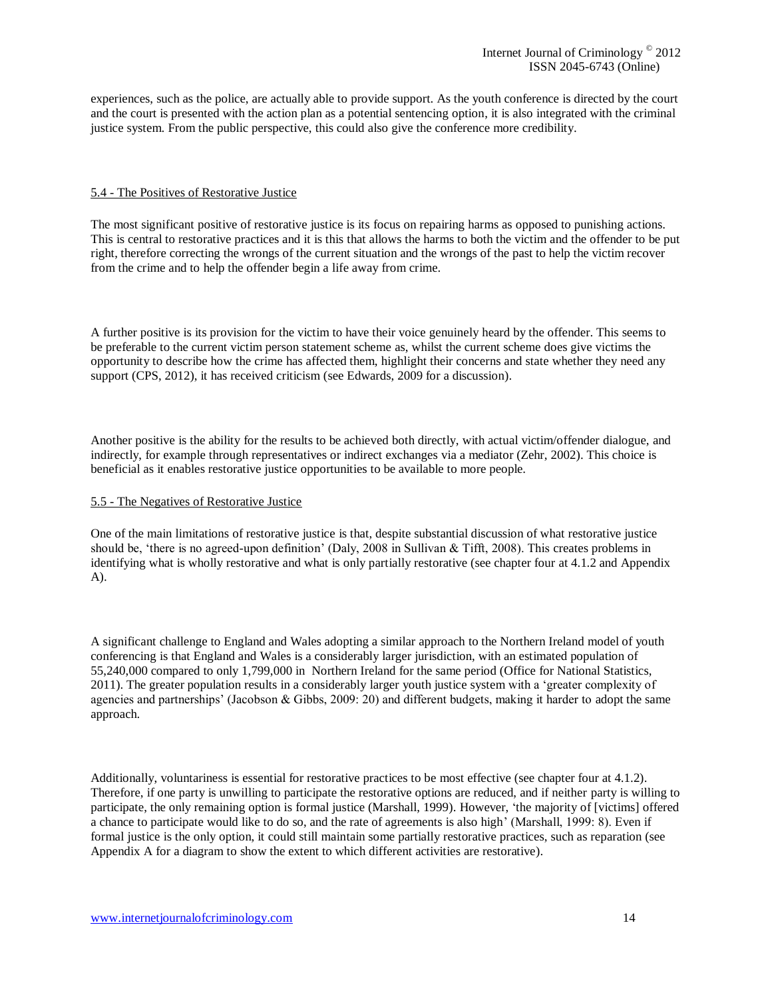experiences, such as the police, are actually able to provide support. As the youth conference is directed by the court and the court is presented with the action plan as a potential sentencing option, it is also integrated with the criminal justice system. From the public perspective, this could also give the conference more credibility.

#### 5.4 - The Positives of Restorative Justice

The most significant positive of restorative justice is its focus on repairing harms as opposed to punishing actions. This is central to restorative practices and it is this that allows the harms to both the victim and the offender to be put right, therefore correcting the wrongs of the current situation and the wrongs of the past to help the victim recover from the crime and to help the offender begin a life away from crime.

A further positive is its provision for the victim to have their voice genuinely heard by the offender. This seems to be preferable to the current victim person statement scheme as, whilst the current scheme does give victims the opportunity to describe how the crime has affected them, highlight their concerns and state whether they need any support (CPS, 2012), it has received criticism (see Edwards, 2009 for a discussion).

Another positive is the ability for the results to be achieved both directly, with actual victim/offender dialogue, and indirectly, for example through representatives or indirect exchanges via a mediator (Zehr, 2002). This choice is beneficial as it enables restorative justice opportunities to be available to more people.

#### 5.5 - The Negatives of Restorative Justice

One of the main limitations of restorative justice is that, despite substantial discussion of what restorative justice should be, 'there is no agreed-upon definition' (Daly, 2008 in Sullivan & Tifft, 2008). This creates problems in identifying what is wholly restorative and what is only partially restorative (see chapter four at 4.1.2 and Appendix A).

A significant challenge to England and Wales adopting a similar approach to the Northern Ireland model of youth conferencing is that England and Wales is a considerably larger jurisdiction, with an estimated population of 55,240,000 compared to only 1,799,000 in Northern Ireland for the same period (Office for National Statistics, 2011). The greater population results in a considerably larger youth justice system with a 'greater complexity of agencies and partnerships' (Jacobson & Gibbs, 2009: 20) and different budgets, making it harder to adopt the same approach.

Additionally, voluntariness is essential for restorative practices to be most effective (see chapter four at 4.1.2). Therefore, if one party is unwilling to participate the restorative options are reduced, and if neither party is willing to participate, the only remaining option is formal justice (Marshall, 1999). However, 'the majority of [victims] offered a chance to participate would like to do so, and the rate of agreements is also high' (Marshall, 1999: 8). Even if formal justice is the only option, it could still maintain some partially restorative practices, such as reparation (see Appendix A for a diagram to show the extent to which different activities are restorative).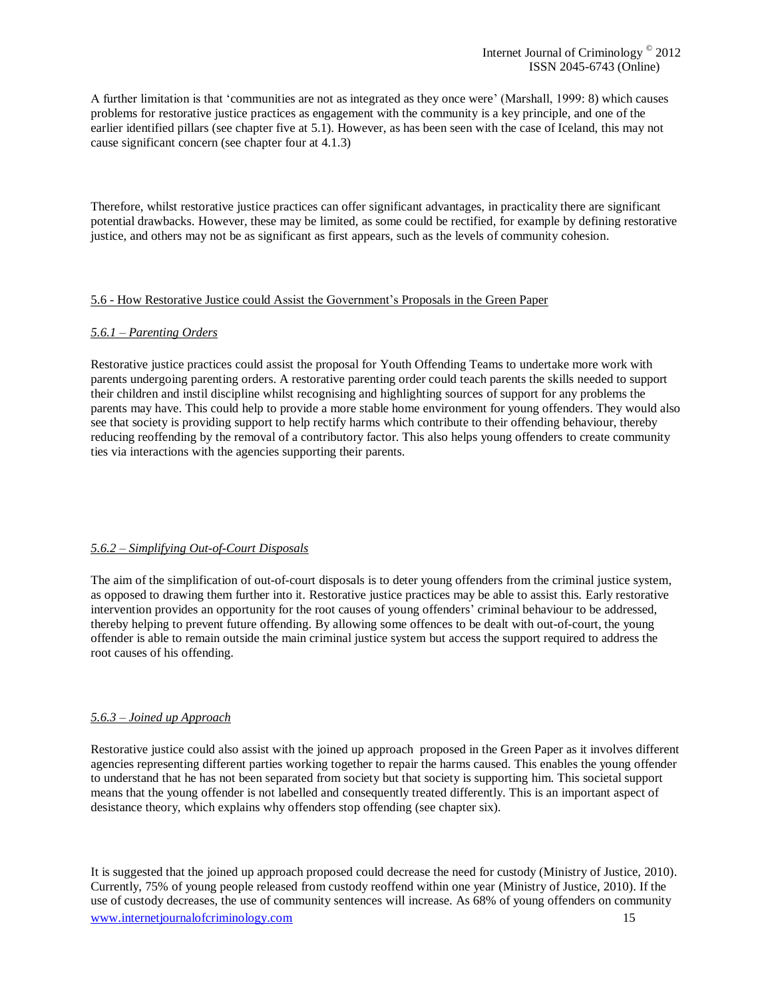A further limitation is that 'communities are not as integrated as they once were' (Marshall, 1999: 8) which causes problems for restorative justice practices as engagement with the community is a key principle, and one of the earlier identified pillars (see chapter five at 5.1). However, as has been seen with the case of Iceland, this may not cause significant concern (see chapter four at 4.1.3)

Therefore, whilst restorative justice practices can offer significant advantages, in practicality there are significant potential drawbacks. However, these may be limited, as some could be rectified, for example by defining restorative justice, and others may not be as significant as first appears, such as the levels of community cohesion.

#### 5.6 - How Restorative Justice could Assist the Government's Proposals in the Green Paper

#### *5.6.1 – Parenting Orders*

Restorative justice practices could assist the proposal for Youth Offending Teams to undertake more work with parents undergoing parenting orders. A restorative parenting order could teach parents the skills needed to support their children and instil discipline whilst recognising and highlighting sources of support for any problems the parents may have. This could help to provide a more stable home environment for young offenders. They would also see that society is providing support to help rectify harms which contribute to their offending behaviour, thereby reducing reoffending by the removal of a contributory factor. This also helps young offenders to create community ties via interactions with the agencies supporting their parents.

## *5.6.2 – Simplifying Out-of-Court Disposals*

The aim of the simplification of out-of-court disposals is to deter young offenders from the criminal justice system, as opposed to drawing them further into it. Restorative justice practices may be able to assist this. Early restorative intervention provides an opportunity for the root causes of young offenders' criminal behaviour to be addressed, thereby helping to prevent future offending. By allowing some offences to be dealt with out-of-court, the young offender is able to remain outside the main criminal justice system but access the support required to address the root causes of his offending.

#### *5.6.3 – Joined up Approach*

Restorative justice could also assist with the joined up approach proposed in the Green Paper as it involves different agencies representing different parties working together to repair the harms caused. This enables the young offender to understand that he has not been separated from society but that society is supporting him. This societal support means that the young offender is not labelled and consequently treated differently. This is an important aspect of desistance theory, which explains why offenders stop offending (see chapter six).

www.internetjournalofcriminology.com 15 It is suggested that the joined up approach proposed could decrease the need for custody (Ministry of Justice, 2010). Currently, 75% of young people released from custody reoffend within one year (Ministry of Justice, 2010). If the use of custody decreases, the use of community sentences will increase. As 68% of young offenders on community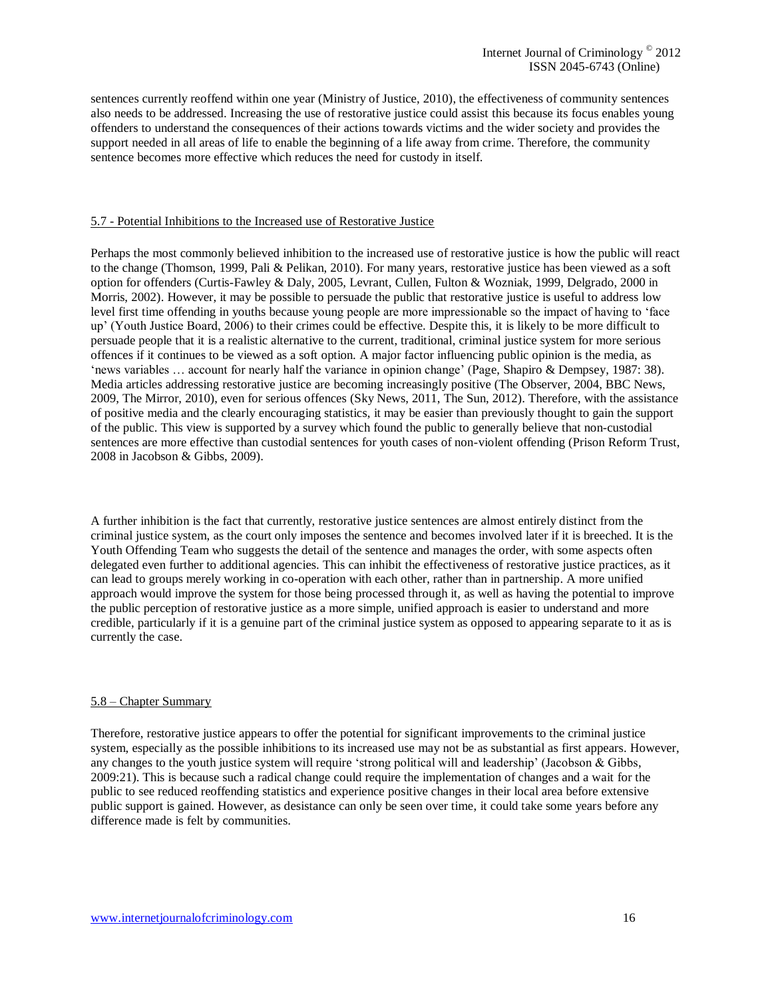sentences currently reoffend within one year (Ministry of Justice, 2010), the effectiveness of community sentences also needs to be addressed. Increasing the use of restorative justice could assist this because its focus enables young offenders to understand the consequences of their actions towards victims and the wider society and provides the support needed in all areas of life to enable the beginning of a life away from crime. Therefore, the community sentence becomes more effective which reduces the need for custody in itself.

#### 5.7 - Potential Inhibitions to the Increased use of Restorative Justice

Perhaps the most commonly believed inhibition to the increased use of restorative justice is how the public will react to the change (Thomson, 1999, Pali & Pelikan, 2010). For many years, restorative justice has been viewed as a soft option for offenders (Curtis-Fawley & Daly, 2005, Levrant, Cullen, Fulton & Wozniak, 1999, Delgrado, 2000 in Morris, 2002). However, it may be possible to persuade the public that restorative justice is useful to address low level first time offending in youths because young people are more impressionable so the impact of having to 'face up' (Youth Justice Board, 2006) to their crimes could be effective. Despite this, it is likely to be more difficult to persuade people that it is a realistic alternative to the current, traditional, criminal justice system for more serious offences if it continues to be viewed as a soft option. A major factor influencing public opinion is the media, as 'news variables … account for nearly half the variance in opinion change' (Page, Shapiro & Dempsey, 1987: 38). Media articles addressing restorative justice are becoming increasingly positive (The Observer, 2004, BBC News, 2009, The Mirror, 2010), even for serious offences (Sky News, 2011, The Sun, 2012). Therefore, with the assistance of positive media and the clearly encouraging statistics, it may be easier than previously thought to gain the support of the public. This view is supported by a survey which found the public to generally believe that non-custodial sentences are more effective than custodial sentences for youth cases of non-violent offending (Prison Reform Trust, 2008 in Jacobson & Gibbs, 2009).

A further inhibition is the fact that currently, restorative justice sentences are almost entirely distinct from the criminal justice system, as the court only imposes the sentence and becomes involved later if it is breeched. It is the Youth Offending Team who suggests the detail of the sentence and manages the order, with some aspects often delegated even further to additional agencies. This can inhibit the effectiveness of restorative justice practices, as it can lead to groups merely working in co-operation with each other, rather than in partnership. A more unified approach would improve the system for those being processed through it, as well as having the potential to improve the public perception of restorative justice as a more simple, unified approach is easier to understand and more credible, particularly if it is a genuine part of the criminal justice system as opposed to appearing separate to it as is currently the case.

#### 5.8 – Chapter Summary

Therefore, restorative justice appears to offer the potential for significant improvements to the criminal justice system, especially as the possible inhibitions to its increased use may not be as substantial as first appears. However, any changes to the youth justice system will require 'strong political will and leadership' (Jacobson & Gibbs, 2009:21). This is because such a radical change could require the implementation of changes and a wait for the public to see reduced reoffending statistics and experience positive changes in their local area before extensive public support is gained. However, as desistance can only be seen over time, it could take some years before any difference made is felt by communities.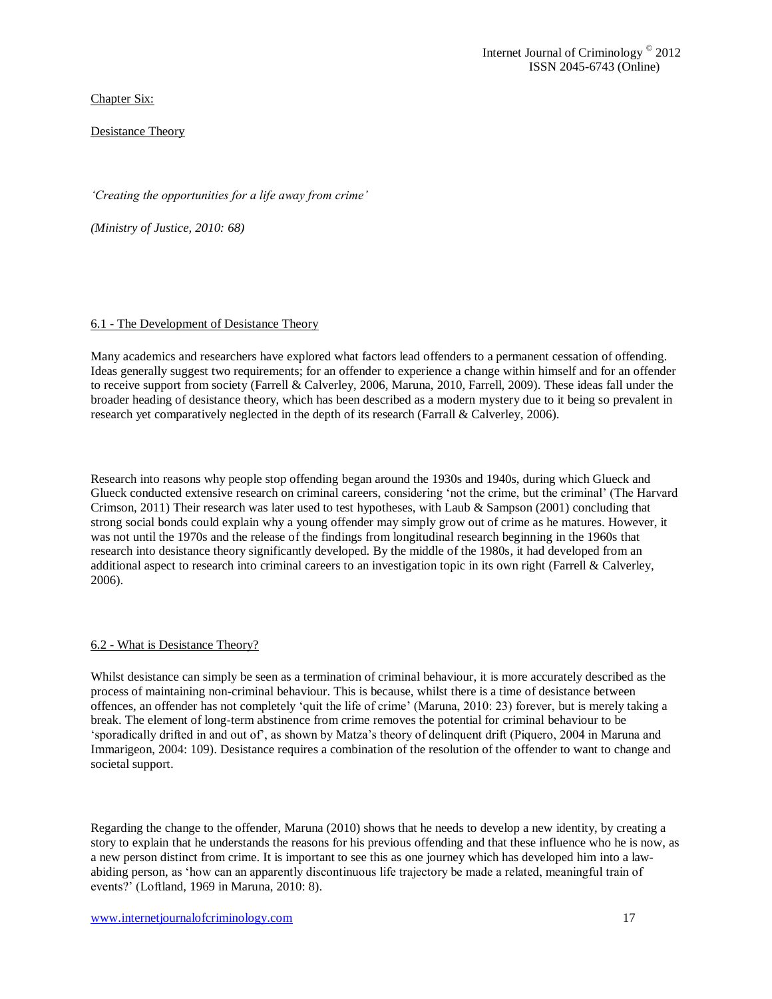Chapter Six:

Desistance Theory

*'Creating the opportunities for a life away from crime'*

*(Ministry of Justice, 2010: 68)*

## 6.1 - The Development of Desistance Theory

Many academics and researchers have explored what factors lead offenders to a permanent cessation of offending. Ideas generally suggest two requirements; for an offender to experience a change within himself and for an offender to receive support from society (Farrell & Calverley, 2006, Maruna, 2010, Farrell, 2009). These ideas fall under the broader heading of desistance theory, which has been described as a modern mystery due to it being so prevalent in research yet comparatively neglected in the depth of its research (Farrall & Calverley, 2006).

Research into reasons why people stop offending began around the 1930s and 1940s, during which Glueck and Glueck conducted extensive research on criminal careers, considering 'not the crime, but the criminal' (The Harvard Crimson, 2011) Their research was later used to test hypotheses, with Laub & Sampson (2001) concluding that strong social bonds could explain why a young offender may simply grow out of crime as he matures. However, it was not until the 1970s and the release of the findings from longitudinal research beginning in the 1960s that research into desistance theory significantly developed. By the middle of the 1980s, it had developed from an additional aspect to research into criminal careers to an investigation topic in its own right (Farrell & Calverley, 2006).

## 6.2 - What is Desistance Theory?

Whilst desistance can simply be seen as a termination of criminal behaviour, it is more accurately described as the process of maintaining non-criminal behaviour. This is because, whilst there is a time of desistance between offences, an offender has not completely 'quit the life of crime' (Maruna, 2010: 23) forever, but is merely taking a break. The element of long-term abstinence from crime removes the potential for criminal behaviour to be 'sporadically drifted in and out of', as shown by Matza's theory of delinquent drift (Piquero, 2004 in Maruna and Immarigeon, 2004: 109). Desistance requires a combination of the resolution of the offender to want to change and societal support.

Regarding the change to the offender, Maruna (2010) shows that he needs to develop a new identity, by creating a story to explain that he understands the reasons for his previous offending and that these influence who he is now, as a new person distinct from crime. It is important to see this as one journey which has developed him into a lawabiding person, as 'how can an apparently discontinuous life trajectory be made a related, meaningful train of events?' (Loftland, 1969 in Maruna, 2010: 8).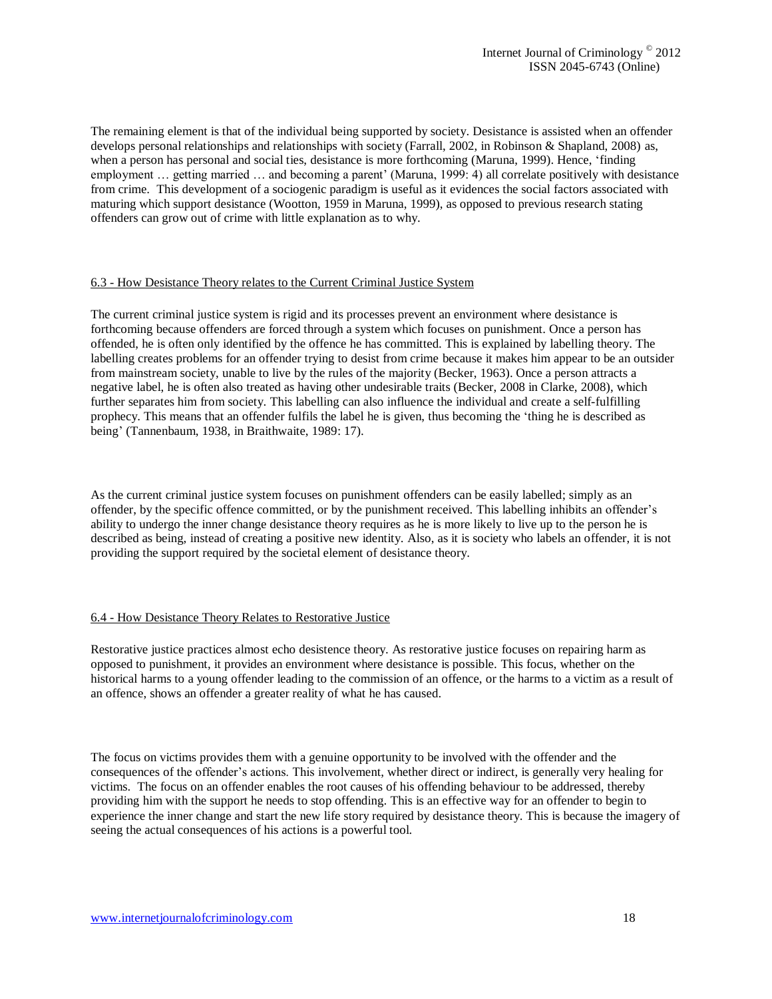The remaining element is that of the individual being supported by society. Desistance is assisted when an offender develops personal relationships and relationships with society (Farrall, 2002, in Robinson & Shapland, 2008) as, when a person has personal and social ties, desistance is more forthcoming (Maruna, 1999). Hence, 'finding employment … getting married … and becoming a parent' (Maruna, 1999: 4) all correlate positively with desistance from crime. This development of a sociogenic paradigm is useful as it evidences the social factors associated with maturing which support desistance (Wootton, 1959 in Maruna, 1999), as opposed to previous research stating offenders can grow out of crime with little explanation as to why.

#### 6.3 - How Desistance Theory relates to the Current Criminal Justice System

The current criminal justice system is rigid and its processes prevent an environment where desistance is forthcoming because offenders are forced through a system which focuses on punishment. Once a person has offended, he is often only identified by the offence he has committed. This is explained by labelling theory. The labelling creates problems for an offender trying to desist from crime because it makes him appear to be an outsider from mainstream society, unable to live by the rules of the majority (Becker, 1963). Once a person attracts a negative label, he is often also treated as having other undesirable traits (Becker, 2008 in Clarke, 2008), which further separates him from society. This labelling can also influence the individual and create a self-fulfilling prophecy. This means that an offender fulfils the label he is given, thus becoming the 'thing he is described as being' (Tannenbaum, 1938, in Braithwaite, 1989: 17).

As the current criminal justice system focuses on punishment offenders can be easily labelled; simply as an offender, by the specific offence committed, or by the punishment received. This labelling inhibits an offender's ability to undergo the inner change desistance theory requires as he is more likely to live up to the person he is described as being, instead of creating a positive new identity. Also, as it is society who labels an offender, it is not providing the support required by the societal element of desistance theory.

## 6.4 - How Desistance Theory Relates to Restorative Justice

Restorative justice practices almost echo desistence theory. As restorative justice focuses on repairing harm as opposed to punishment, it provides an environment where desistance is possible. This focus, whether on the historical harms to a young offender leading to the commission of an offence, or the harms to a victim as a result of an offence, shows an offender a greater reality of what he has caused.

The focus on victims provides them with a genuine opportunity to be involved with the offender and the consequences of the offender's actions. This involvement, whether direct or indirect, is generally very healing for victims. The focus on an offender enables the root causes of his offending behaviour to be addressed, thereby providing him with the support he needs to stop offending. This is an effective way for an offender to begin to experience the inner change and start the new life story required by desistance theory. This is because the imagery of seeing the actual consequences of his actions is a powerful tool.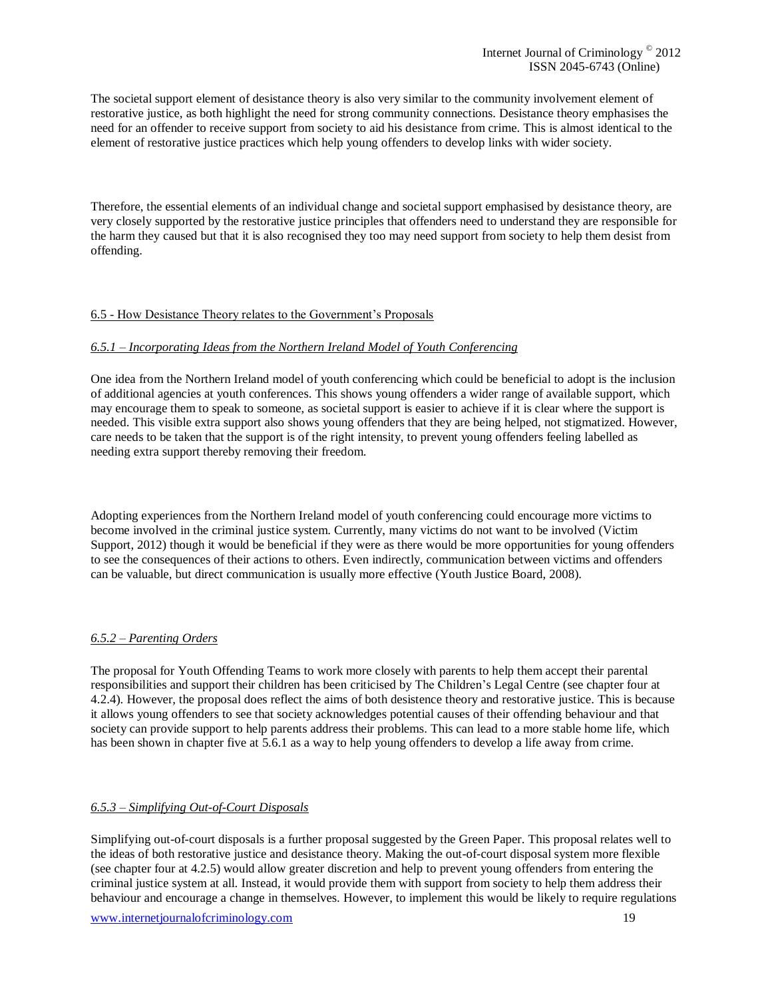The societal support element of desistance theory is also very similar to the community involvement element of restorative justice, as both highlight the need for strong community connections. Desistance theory emphasises the need for an offender to receive support from society to aid his desistance from crime. This is almost identical to the element of restorative justice practices which help young offenders to develop links with wider society.

Therefore, the essential elements of an individual change and societal support emphasised by desistance theory, are very closely supported by the restorative justice principles that offenders need to understand they are responsible for the harm they caused but that it is also recognised they too may need support from society to help them desist from offending.

## 6.5 - How Desistance Theory relates to the Government's Proposals

## *6.5.1 – Incorporating Ideas from the Northern Ireland Model of Youth Conferencing*

One idea from the Northern Ireland model of youth conferencing which could be beneficial to adopt is the inclusion of additional agencies at youth conferences. This shows young offenders a wider range of available support, which may encourage them to speak to someone, as societal support is easier to achieve if it is clear where the support is needed. This visible extra support also shows young offenders that they are being helped, not stigmatized. However, care needs to be taken that the support is of the right intensity, to prevent young offenders feeling labelled as needing extra support thereby removing their freedom.

Adopting experiences from the Northern Ireland model of youth conferencing could encourage more victims to become involved in the criminal justice system. Currently, many victims do not want to be involved (Victim Support, 2012) though it would be beneficial if they were as there would be more opportunities for young offenders to see the consequences of their actions to others. Even indirectly, communication between victims and offenders can be valuable, but direct communication is usually more effective (Youth Justice Board, 2008).

## *6.5.2 – Parenting Orders*

The proposal for Youth Offending Teams to work more closely with parents to help them accept their parental responsibilities and support their children has been criticised by The Children's Legal Centre (see chapter four at 4.2.4). However, the proposal does reflect the aims of both desistence theory and restorative justice. This is because it allows young offenders to see that society acknowledges potential causes of their offending behaviour and that society can provide support to help parents address their problems. This can lead to a more stable home life, which has been shown in chapter five at 5.6.1 as a way to help young offenders to develop a life away from crime.

## *6.5.3 – Simplifying Out-of-Court Disposals*

Simplifying out-of-court disposals is a further proposal suggested by the Green Paper. This proposal relates well to the ideas of both restorative justice and desistance theory. Making the out-of-court disposal system more flexible (see chapter four at 4.2.5) would allow greater discretion and help to prevent young offenders from entering the criminal justice system at all. Instead, it would provide them with support from society to help them address their behaviour and encourage a change in themselves. However, to implement this would be likely to require regulations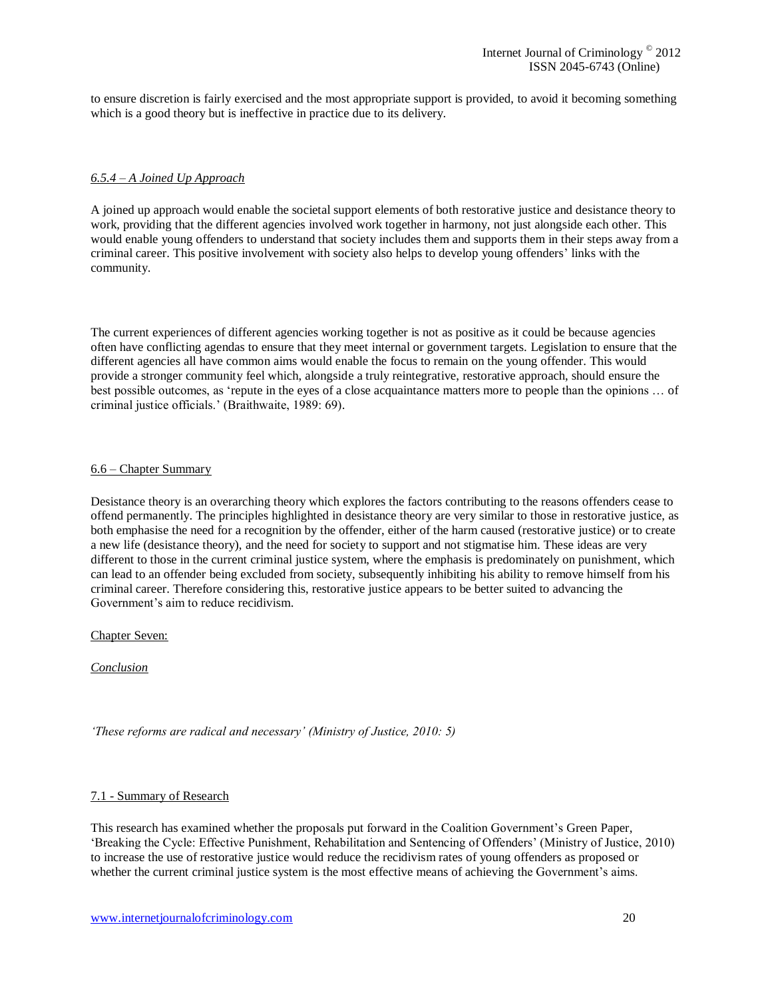to ensure discretion is fairly exercised and the most appropriate support is provided, to avoid it becoming something which is a good theory but is ineffective in practice due to its delivery.

## *6.5.4 – A Joined Up Approach*

A joined up approach would enable the societal support elements of both restorative justice and desistance theory to work, providing that the different agencies involved work together in harmony, not just alongside each other. This would enable young offenders to understand that society includes them and supports them in their steps away from a criminal career. This positive involvement with society also helps to develop young offenders' links with the community.

The current experiences of different agencies working together is not as positive as it could be because agencies often have conflicting agendas to ensure that they meet internal or government targets. Legislation to ensure that the different agencies all have common aims would enable the focus to remain on the young offender. This would provide a stronger community feel which, alongside a truly reintegrative, restorative approach, should ensure the best possible outcomes, as 'repute in the eyes of a close acquaintance matters more to people than the opinions … of criminal justice officials.' (Braithwaite, 1989: 69).

## 6.6 – Chapter Summary

Desistance theory is an overarching theory which explores the factors contributing to the reasons offenders cease to offend permanently. The principles highlighted in desistance theory are very similar to those in restorative justice, as both emphasise the need for a recognition by the offender, either of the harm caused (restorative justice) or to create a new life (desistance theory), and the need for society to support and not stigmatise him. These ideas are very different to those in the current criminal justice system, where the emphasis is predominately on punishment, which can lead to an offender being excluded from society, subsequently inhibiting his ability to remove himself from his criminal career. Therefore considering this, restorative justice appears to be better suited to advancing the Government's aim to reduce recidivism.

Chapter Seven:

*Conclusion*

*'These reforms are radical and necessary' (Ministry of Justice, 2010: 5)*

## 7.1 - Summary of Research

This research has examined whether the proposals put forward in the Coalition Government's Green Paper, 'Breaking the Cycle: Effective Punishment, Rehabilitation and Sentencing of Offenders' (Ministry of Justice, 2010) to increase the use of restorative justice would reduce the recidivism rates of young offenders as proposed or whether the current criminal justice system is the most effective means of achieving the Government's aims.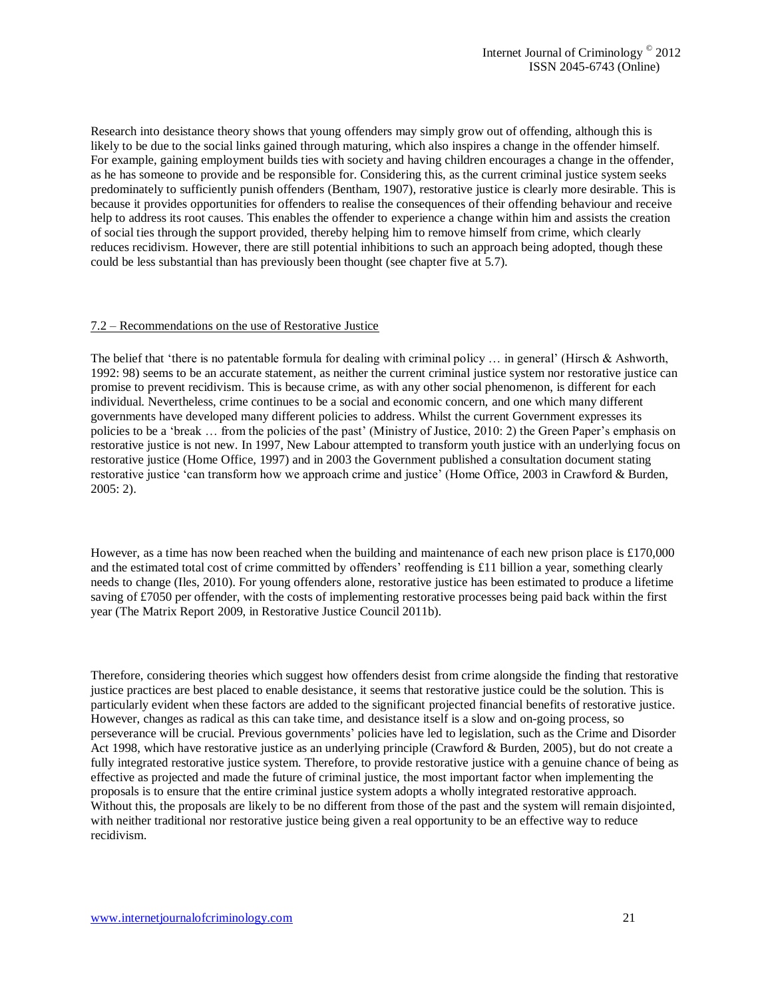Research into desistance theory shows that young offenders may simply grow out of offending, although this is likely to be due to the social links gained through maturing, which also inspires a change in the offender himself. For example, gaining employment builds ties with society and having children encourages a change in the offender, as he has someone to provide and be responsible for. Considering this, as the current criminal justice system seeks predominately to sufficiently punish offenders (Bentham, 1907), restorative justice is clearly more desirable. This is because it provides opportunities for offenders to realise the consequences of their offending behaviour and receive help to address its root causes. This enables the offender to experience a change within him and assists the creation of social ties through the support provided, thereby helping him to remove himself from crime, which clearly reduces recidivism. However, there are still potential inhibitions to such an approach being adopted, though these could be less substantial than has previously been thought (see chapter five at 5.7).

#### 7.2 – Recommendations on the use of Restorative Justice

The belief that 'there is no patentable formula for dealing with criminal policy ... in general' (Hirsch & Ashworth, 1992: 98) seems to be an accurate statement, as neither the current criminal justice system nor restorative justice can promise to prevent recidivism. This is because crime, as with any other social phenomenon, is different for each individual. Nevertheless, crime continues to be a social and economic concern, and one which many different governments have developed many different policies to address. Whilst the current Government expresses its policies to be a 'break … from the policies of the past' (Ministry of Justice, 2010: 2) the Green Paper's emphasis on restorative justice is not new. In 1997, New Labour attempted to transform youth justice with an underlying focus on restorative justice (Home Office, 1997) and in 2003 the Government published a consultation document stating restorative justice 'can transform how we approach crime and justice' (Home Office, 2003 in Crawford & Burden, 2005: 2).

However, as a time has now been reached when the building and maintenance of each new prison place is £170,000 and the estimated total cost of crime committed by offenders' reoffending is £11 billion a year, something clearly needs to change (Iles, 2010). For young offenders alone, restorative justice has been estimated to produce a lifetime saving of £7050 per offender, with the costs of implementing restorative processes being paid back within the first year (The Matrix Report 2009, in Restorative Justice Council 2011b).

Therefore, considering theories which suggest how offenders desist from crime alongside the finding that restorative justice practices are best placed to enable desistance, it seems that restorative justice could be the solution. This is particularly evident when these factors are added to the significant projected financial benefits of restorative justice. However, changes as radical as this can take time, and desistance itself is a slow and on-going process, so perseverance will be crucial. Previous governments' policies have led to legislation, such as the Crime and Disorder Act 1998, which have restorative justice as an underlying principle (Crawford & Burden, 2005), but do not create a fully integrated restorative justice system. Therefore, to provide restorative justice with a genuine chance of being as effective as projected and made the future of criminal justice, the most important factor when implementing the proposals is to ensure that the entire criminal justice system adopts a wholly integrated restorative approach. Without this, the proposals are likely to be no different from those of the past and the system will remain disjointed, with neither traditional nor restorative justice being given a real opportunity to be an effective way to reduce recidivism.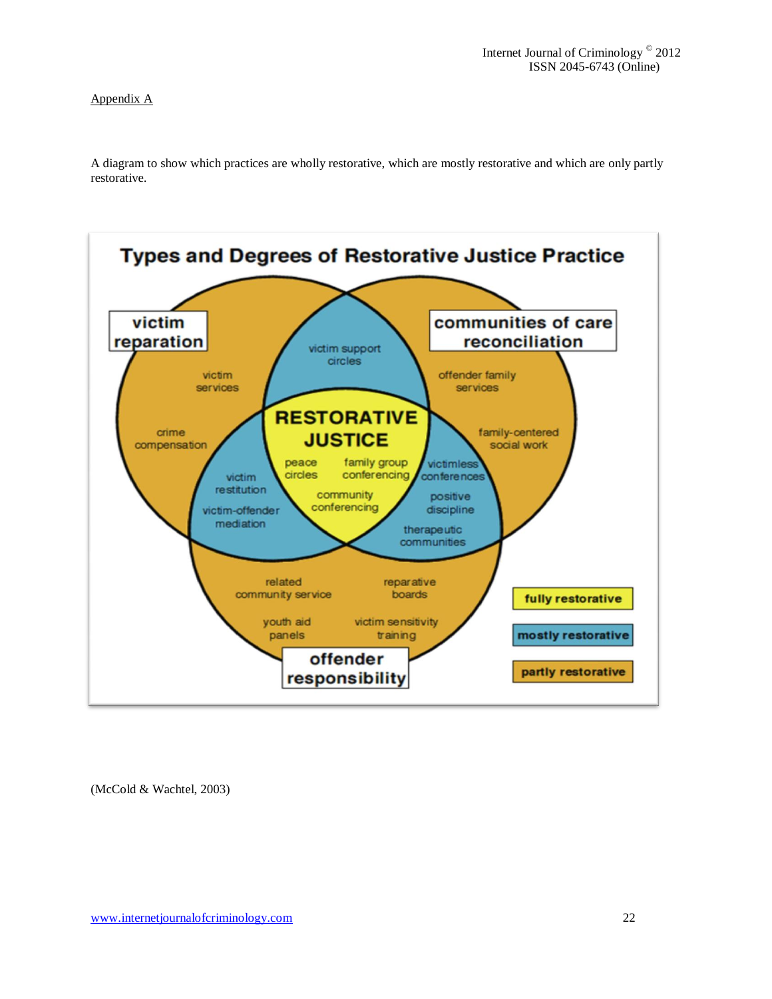## Appendix A

A diagram to show which practices are wholly restorative, which are mostly restorative and which are only partly restorative.



(McCold & Wachtel, 2003)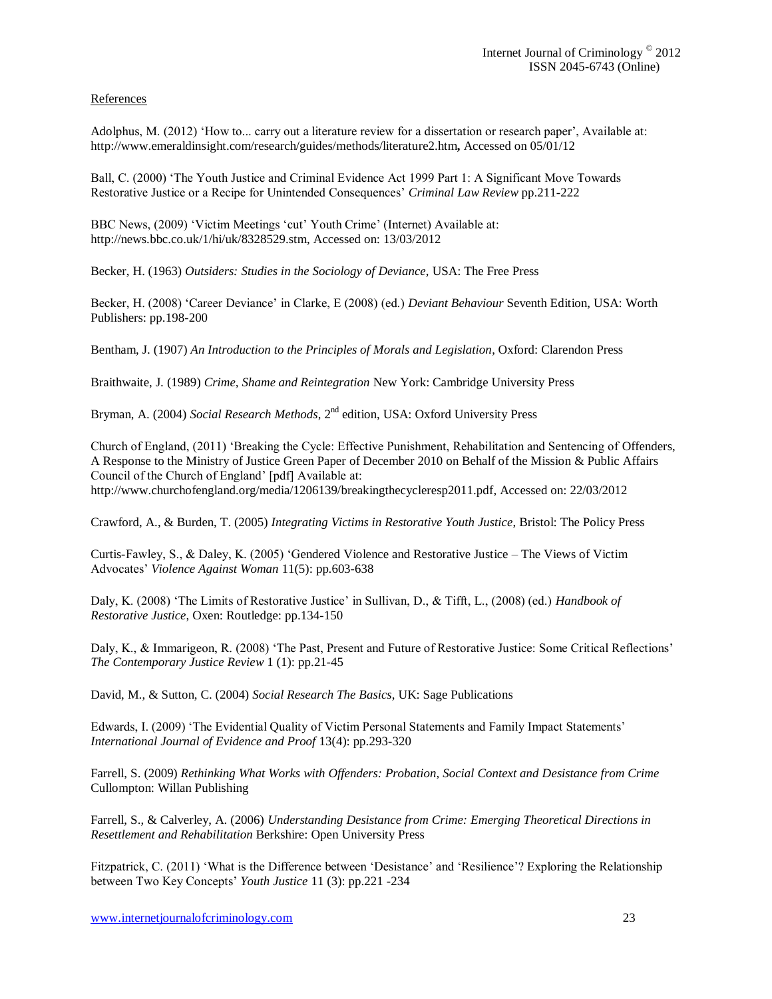#### References

Adolphus, M. (2012) 'How to... carry out a literature review for a dissertation or research paper', Available at: <http://www.emeraldinsight.com/research/guides/methods/literature2.htm>**,** Accessed on 05/01/12

Ball, C. (2000) 'The Youth Justice and Criminal Evidence Act 1999 Part 1: A Significant Move Towards Restorative Justice or a Recipe for Unintended Consequences' *Criminal Law Review* pp.211-222

BBC News, (2009) 'Victim Meetings 'cut' Youth Crime' (Internet) Available at: [http://news.bbc.co.uk/1/hi/uk/8328529.stm,](http://news.bbc.co.uk/1/hi/uk/8328529.stm) Accessed on: 13/03/2012

Becker, H. (1963) *Outsiders: Studies in the Sociology of Deviance*, USA: The Free Press

Becker, H. (2008) 'Career Deviance' in Clarke, E (2008) (ed.) *Deviant Behaviour* Seventh Edition, USA: Worth Publishers: pp.198-200

Bentham, J. (1907) *An Introduction to the Principles of Morals and Legislation*, Oxford: Clarendon Press

Braithwaite, J. (1989) *Crime, Shame and Reintegration* New York: Cambridge University Press

Bryman, A. (2004) *Social Research Methods*, 2<sup>nd</sup> edition, USA: Oxford University Press

Church of England, (2011) 'Breaking the Cycle: Effective Punishment, Rehabilitation and Sentencing of Offenders, A Response to the Ministry of Justice Green Paper of December 2010 on Behalf of the Mission & Public Affairs Council of the Church of England' [pdf] Available at: [http://www.churchofengland.org/media/1206139/breakingthecycleresp2011.pdf,](http://www.churchofengland.org/media/1206139/breakingthecycleresp2011.pdf) Accessed on: 22/03/2012

Crawford, A., & Burden, T. (2005) *Integrating Victims in Restorative Youth Justice*, Bristol: The Policy Press

Curtis-Fawley, S., & Daley, K. (2005) 'Gendered Violence and Restorative Justice – The Views of Victim Advocates' *Violence Against Woman* 11(5): pp.603-638

Daly, K. (2008) 'The Limits of Restorative Justice' in Sullivan, D., & Tifft, L., (2008) (ed.) *Handbook of Restorative Justice*, Oxen: Routledge: pp.134-150

Daly, K., & Immarigeon, R. (2008) 'The Past, Present and Future of Restorative Justice: Some Critical Reflections' *The Contemporary Justice Review* 1 (1): pp.21-45

David, M., & Sutton, C. (2004) *Social Research The Basics*, UK: Sage Publications

Edwards, I. (2009) 'The Evidential Quality of Victim Personal Statements and Family Impact Statements' *International Journal of Evidence and Proof* 13(4): pp.293-320

Farrell, S. (2009) *Rethinking What Works with Offenders: Probation, Social Context and Desistance from Crime* Cullompton: Willan Publishing

Farrell, S., & Calverley, A. (2006) *Understanding Desistance from Crime: Emerging Theoretical Directions in Resettlement and Rehabilitation* Berkshire: Open University Press

Fitzpatrick, C. (2011) 'What is the Difference between 'Desistance' and 'Resilience'? Exploring the Relationship between Two Key Concepts' *Youth Justice* 11 (3): pp.221 -234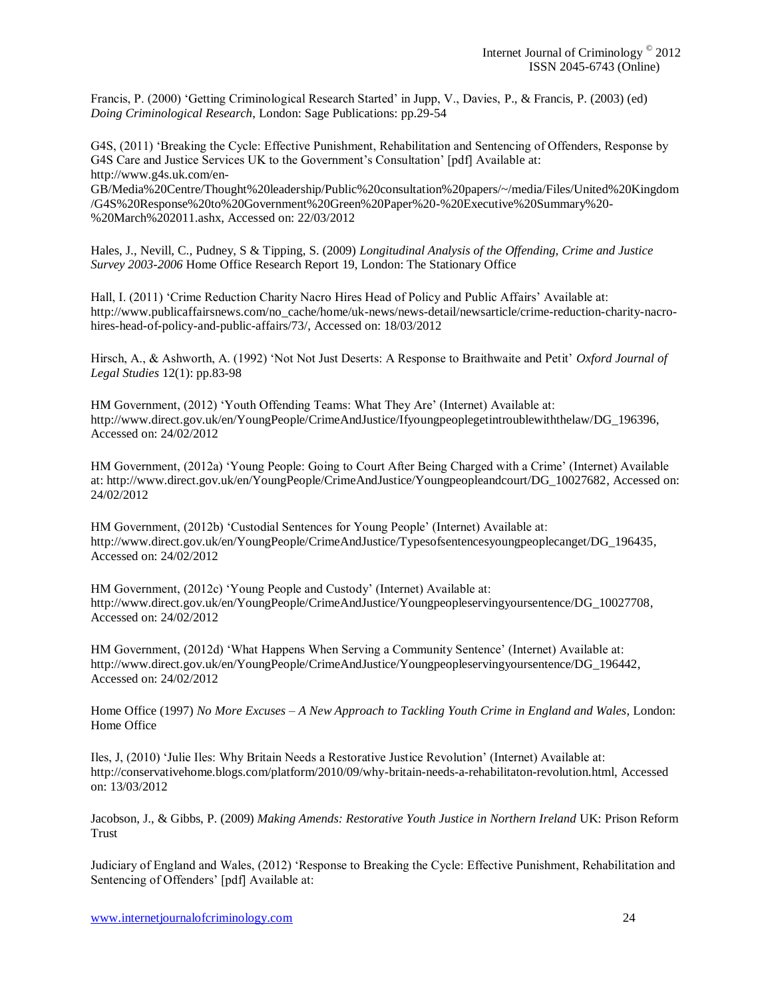Francis, P. (2000) 'Getting Criminological Research Started' in Jupp, V., Davies, P., & Francis, P. (2003) (ed) *Doing Criminological Research*, London: Sage Publications: pp.29-54

G4S, (2011) 'Breaking the Cycle: Effective Punishment, Rehabilitation and Sentencing of Offenders, Response by G4S Care and Justice Services UK to the Government's Consultation' [pdf] Available at: [http://www.g4s.uk.com/en-](http://www.g4s.uk.com/en-GB/Media%20Centre/Thought%20leadership/Public%20consultation%20papers/~/media/Files/United%20Kingdom/G4S%20Response%20to%20Government%20Green%20Paper%20-%20Executive%20Summary%20-%20March%202011.ashx)

[GB/Media%20Centre/Thought%20leadership/Public%20consultation%20papers/~/media/Files/United%20Kingdom](http://www.g4s.uk.com/en-GB/Media%20Centre/Thought%20leadership/Public%20consultation%20papers/~/media/Files/United%20Kingdom/G4S%20Response%20to%20Government%20Green%20Paper%20-%20Executive%20Summary%20-%20March%202011.ashx) [/G4S%20Response%20to%20Government%20Green%20Paper%20-%20Executive%20Summary%20-](http://www.g4s.uk.com/en-GB/Media%20Centre/Thought%20leadership/Public%20consultation%20papers/~/media/Files/United%20Kingdom/G4S%20Response%20to%20Government%20Green%20Paper%20-%20Executive%20Summary%20-%20March%202011.ashx) [%20March%202011.ashx,](http://www.g4s.uk.com/en-GB/Media%20Centre/Thought%20leadership/Public%20consultation%20papers/~/media/Files/United%20Kingdom/G4S%20Response%20to%20Government%20Green%20Paper%20-%20Executive%20Summary%20-%20March%202011.ashx) Accessed on: 22/03/2012

Hales, J., Nevill, C., Pudney, S & Tipping, S. (2009) *Longitudinal Analysis of the Offending, Crime and Justice Survey 2003-2006* Home Office Research Report 19, London: The Stationary Office

Hall, I. (2011) 'Crime Reduction Charity Nacro Hires Head of Policy and Public Affairs' Available at: [http://www.publicaffairsnews.com/no\\_cache/home/uk-news/news-detail/newsarticle/crime-reduction-charity-nacro](http://www.publicaffairsnews.com/no_cache/home/uk-news/news-detail/newsarticle/crime-reduction-charity-nacro-hires-head-of-policy-and-public-affairs/73/)[hires-head-of-policy-and-public-affairs/73/,](http://www.publicaffairsnews.com/no_cache/home/uk-news/news-detail/newsarticle/crime-reduction-charity-nacro-hires-head-of-policy-and-public-affairs/73/) Accessed on: 18/03/2012

Hirsch, A., & Ashworth, A. (1992) 'Not Not Just Deserts: A Response to Braithwaite and Petit' *Oxford Journal of Legal Studies* 12(1): pp.83-98

HM Government, (2012) 'Youth Offending Teams: What They Are' (Internet) Available at: [http://www.direct.gov.uk/en/YoungPeople/CrimeAndJustice/Ifyoungpeoplegetintroublewiththelaw/DG\\_196396,](http://www.direct.gov.uk/en/YoungPeople/CrimeAndJustice/Ifyoungpeoplegetintroublewiththelaw/DG_196396) Accessed on: 24/02/2012

HM Government, (2012a) 'Young People: Going to Court After Being Charged with a Crime' (Internet) Available at[: http://www.direct.gov.uk/en/YoungPeople/CrimeAndJustice/Youngpeopleandcourt/DG\\_10027682,](http://www.direct.gov.uk/en/YoungPeople/CrimeAndJustice/Youngpeopleandcourt/DG_10027682) Accessed on: 24/02/2012

HM Government, (2012b) 'Custodial Sentences for Young People' (Internet) Available at: [http://www.direct.gov.uk/en/YoungPeople/CrimeAndJustice/Typesofsentencesyoungpeoplecanget/DG\\_196435,](http://www.direct.gov.uk/en/YoungPeople/CrimeAndJustice/Typesofsentencesyoungpeoplecanget/DG_196435) Accessed on: 24/02/2012

HM Government, (2012c) 'Young People and Custody' (Internet) Available at: [http://www.direct.gov.uk/en/YoungPeople/CrimeAndJustice/Youngpeopleservingyoursentence/DG\\_10027708,](http://www.direct.gov.uk/en/YoungPeople/CrimeAndJustice/Youngpeopleservingyoursentence/DG_10027708) Accessed on: 24/02/2012

HM Government, (2012d) 'What Happens When Serving a Community Sentence' (Internet) Available at: [http://www.direct.gov.uk/en/YoungPeople/CrimeAndJustice/Youngpeopleservingyoursentence/DG\\_196442,](http://www.direct.gov.uk/en/YoungPeople/CrimeAndJustice/Youngpeopleservingyoursentence/DG_196442) Accessed on: 24/02/2012

Home Office (1997) *No More Excuses – A New Approach to Tackling Youth Crime in England and Wales*, London: Home Office

Iles, J, (2010) 'Julie Iles: Why Britain Needs a Restorative Justice Revolution' (Internet) Available at: [http://conservativehome.blogs.com/platform/2010/09/why-britain-needs-a-rehabilitaton-revolution.html,](http://conservativehome.blogs.com/platform/2010/09/why-britain-needs-a-rehabilitaton-revolution.html) Accessed on: 13/03/2012

Jacobson, J., & Gibbs, P. (2009) *Making Amends: Restorative Youth Justice in Northern Ireland* UK: Prison Reform Trust

Judiciary of England and Wales, (2012) 'Response to Breaking the Cycle: Effective Punishment, Rehabilitation and Sentencing of Offenders' [pdf] Available at: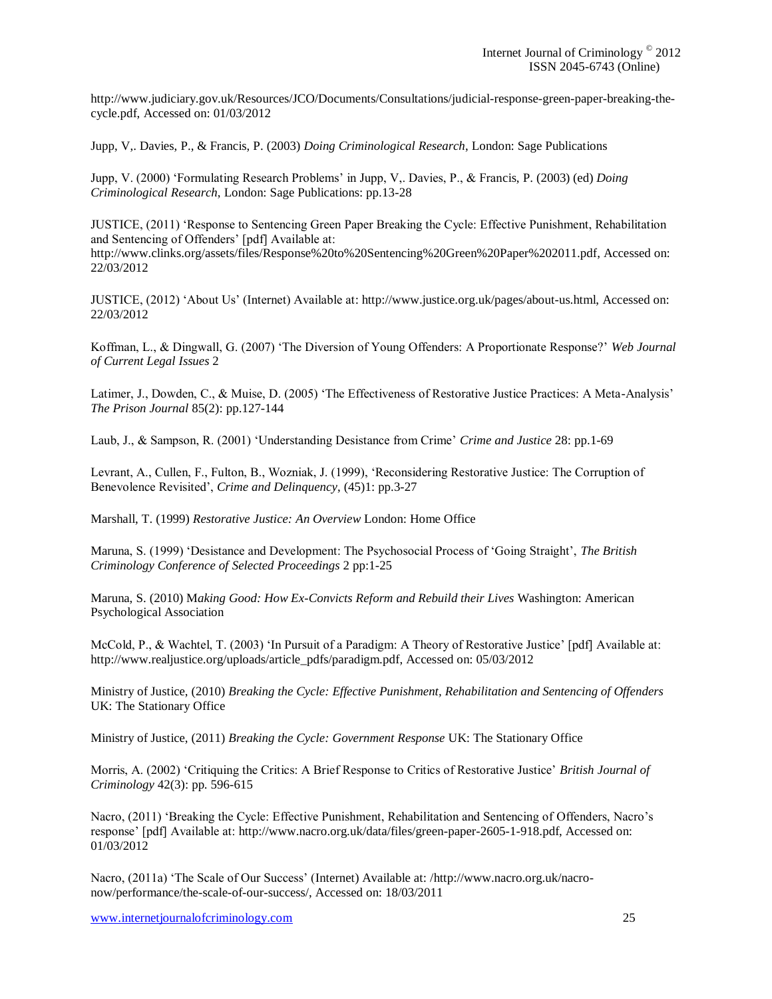[http://www.judiciary.gov.uk/Resources/JCO/Documents/Consultations/judicial-response-green-paper-breaking-the](http://www.judiciary.gov.uk/Resources/JCO/Documents/Consultations/judicial-response-green-paper-breaking-the-cycle.pdf)[cycle.pdf,](http://www.judiciary.gov.uk/Resources/JCO/Documents/Consultations/judicial-response-green-paper-breaking-the-cycle.pdf) Accessed on: 01/03/2012

Jupp, V,. Davies, P., & Francis, P. (2003) *Doing Criminological Research*, London: Sage Publications

Jupp, V. (2000) 'Formulating Research Problems' in Jupp, V,. Davies, P., & Francis, P. (2003) (ed) *Doing Criminological Research*, London: Sage Publications: pp.13-28

JUSTICE, (2011) 'Response to Sentencing Green Paper Breaking the Cycle: Effective Punishment, Rehabilitation and Sentencing of Offenders' [pdf] Available at: [http://www.clinks.org/assets/files/Response%20to%20Sentencing%20Green%20Paper%202011.pdf,](http://www.clinks.org/assets/files/Response%20to%20Sentencing%20Green%20Paper%202011.pdf) Accessed on: 22/03/2012

JUSTICE, (2012) 'About Us' (Internet) Available at: [http://www.justice.org.uk/pages/about-us.html,](http://www.justice.org.uk/pages/about-us.html) Accessed on: 22/03/2012

Koffman, L., & Dingwall, G. (2007) 'The Diversion of Young Offenders: A Proportionate Response?' *Web Journal of Current Legal Issues* 2

Latimer, J., Dowden, C., & Muise, D. (2005) 'The Effectiveness of Restorative Justice Practices: A Meta-Analysis' *The Prison Journal* 85(2): pp.127-144

Laub, J., & Sampson, R. (2001) 'Understanding Desistance from Crime' *Crime and Justice* 28: pp.1-69

Levrant, A., Cullen, F., Fulton, B., Wozniak, J. (1999), 'Reconsidering Restorative Justice: The Corruption of Benevolence Revisited', *Crime and Delinquency*, (45)1: pp.3-27

Marshall, T. (1999) *Restorative Justice: An Overview* London: Home Office

Maruna, S. (1999) 'Desistance and Development: The Psychosocial Process of 'Going Straight', *The British Criminology Conference of Selected Proceedings* 2 pp:1-25

Maruna, S. (2010) M*aking Good: How Ex-Convicts Reform and Rebuild their Lives* Washington: American Psychological Association

McCold, P., & Wachtel, T. (2003) 'In Pursuit of a Paradigm: A Theory of Restorative Justice' [pdf] Available at: [http://www.realjustice.org/uploads/article\\_pdfs/paradigm.pdf,](http://www.realjustice.org/uploads/article_pdfs/paradigm.pdf) Accessed on: 05/03/2012

Ministry of Justice, (2010) *Breaking the Cycle: Effective Punishment, Rehabilitation and Sentencing of Offenders*  UK: The Stationary Office

Ministry of Justice, (2011) *Breaking the Cycle: Government Response* UK: The Stationary Office

Morris, A. (2002) 'Critiquing the Critics: A Brief Response to Critics of Restorative Justice' *British Journal of Criminology* 42(3): pp. 596-615

Nacro, (2011) 'Breaking the Cycle: Effective Punishment, Rehabilitation and Sentencing of Offenders, Nacro's response' [pdf] Available at: [http://www.nacro.org.uk/data/files/green-paper-2605-1-918.pdf,](http://www.nacro.org.uk/data/files/green-paper-2605-1-918.pdf) Accessed on: 01/03/2012

Nacro, (2011a) 'The Scale of Our Success' (Internet) Available at: [/http://www.nacro.org.uk/nacro](http://www.nacro.org.uk/nacro-now/performance/the-scale-of-our-success/)[now/performance/the-scale-of-our-success/,](http://www.nacro.org.uk/nacro-now/performance/the-scale-of-our-success/) Accessed on: 18/03/2011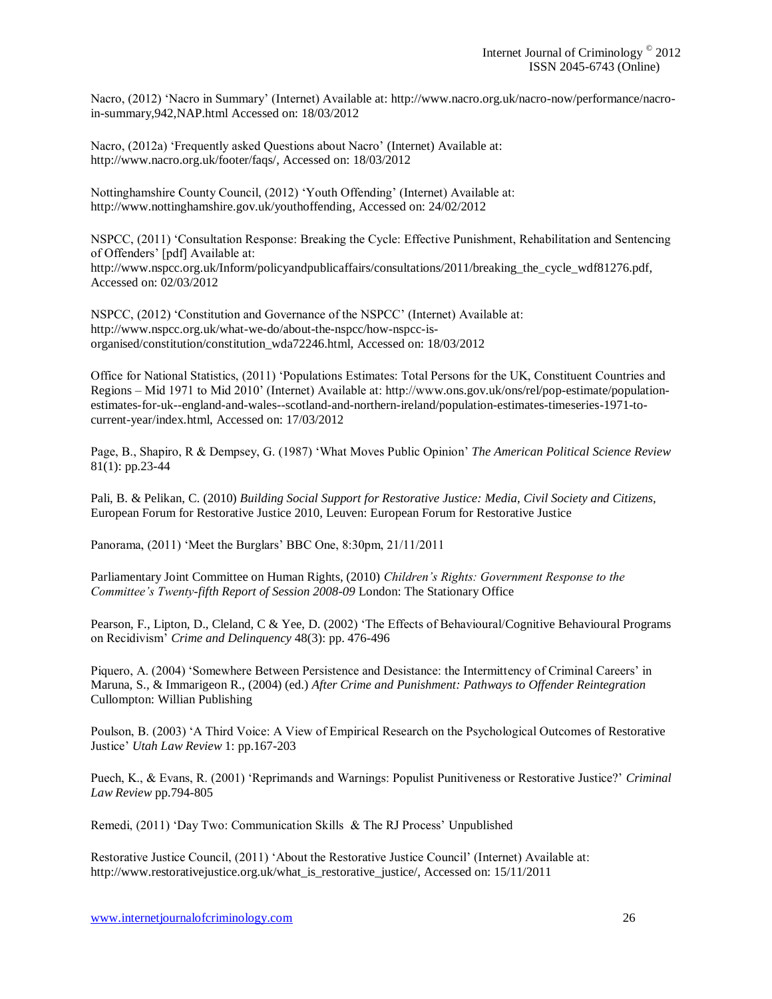Nacro, (2012) 'Nacro in Summary' (Internet) Available at: [http://www.nacro.org.uk/nacro-now/performance/nacro](http://www.nacro.org.uk/nacro-now/performance/nacro-in-summary,942,NAP.html)[in-summary,942,NAP.html](http://www.nacro.org.uk/nacro-now/performance/nacro-in-summary,942,NAP.html) Accessed on: 18/03/2012

Nacro, (2012a) 'Frequently asked Questions about Nacro' (Internet) Available at: [http://www.nacro.org.uk/footer/faqs/,](http://www.nacro.org.uk/footer/faqs/) Accessed on: 18/03/2012

Nottinghamshire County Council, (2012) 'Youth Offending' (Internet) Available at: [http://www.nottinghamshire.gov.uk/youthoffending,](http://www.nottinghamshire.gov.uk/youthoffending) Accessed on: 24/02/2012

NSPCC, (2011) 'Consultation Response: Breaking the Cycle: Effective Punishment, Rehabilitation and Sentencing of Offenders' [pdf] Available at: [http://www.nspcc.org.uk/Inform/policyandpublicaffairs/consultations/2011/breaking\\_the\\_cycle\\_wdf81276.pdf,](http://www.nspcc.org.uk/Inform/policyandpublicaffairs/consultations/2011/breaking_the_cycle_wdf81276.pdf) Accessed on: 02/03/2012

NSPCC, (2012) 'Constitution and Governance of the NSPCC' (Internet) Available at: [http://www.nspcc.org.uk/what-we-do/about-the-nspcc/how-nspcc-is](http://www.nspcc.org.uk/what-we-do/about-the-nspcc/how-nspcc-is-organised/constitution/constitution_wda72246.html)[organised/constitution/constitution\\_wda72246.html,](http://www.nspcc.org.uk/what-we-do/about-the-nspcc/how-nspcc-is-organised/constitution/constitution_wda72246.html) Accessed on: 18/03/2012

Office for National Statistics, (2011) 'Populations Estimates: Total Persons for the UK, Constituent Countries and Regions – Mid 1971 to Mid 2010' (Internet) Available at: http://www.ons.gov.uk/ons/rel/pop-estimate/populationestimates-for-uk--england-and-wales--scotland-and-northern-ireland/population-estimates-timeseries-1971-tocurrent-year/index.html, Accessed on: 17/03/2012

Page, B., Shapiro, R & Dempsey, G. (1987) 'What Moves Public Opinion' *The American Political Science Review* 81(1): pp.23-44

Pali, B. & Pelikan, C. (2010) *Building Social Support for Restorative Justice: Media, Civil Society and Citizens,* European Forum for Restorative Justice 2010, Leuven: European Forum for Restorative Justice

Panorama, (2011) 'Meet the Burglars' BBC One, 8:30pm, 21/11/2011

Parliamentary Joint Committee on Human Rights, (2010) *Children's Rights: Government Response to the Committee's Twenty-fifth Report of Session 2008-09* London: The Stationary Office

Pearson, F., Lipton, D., Cleland, C & Yee, D. (2002) 'The Effects of Behavioural/Cognitive Behavioural Programs on Recidivism' *Crime and Delinquency* 48(3): pp. 476-496

Piquero, A. (2004) 'Somewhere Between Persistence and Desistance: the Intermittency of Criminal Careers' in Maruna, S., & Immarigeon R., (2004) (ed.) *After Crime and Punishment: Pathways to Offender Reintegration* Cullompton: Willian Publishing

Poulson, B. (2003) 'A Third Voice: A View of Empirical Research on the Psychological Outcomes of Restorative Justice' *Utah Law Review* 1: pp.167-203

Puech, K., & Evans, R. (2001) 'Reprimands and Warnings: Populist Punitiveness or Restorative Justice?' *Criminal Law Review* pp.794-805

Remedi, (2011) 'Day Two: Communication Skills & The RJ Process' Unpublished

Restorative Justice Council, (2011) 'About the Restorative Justice Council' (Internet) Available at: http://www.restorativejustice.org.uk/what is restorative justice/, Accessed on: 15/11/2011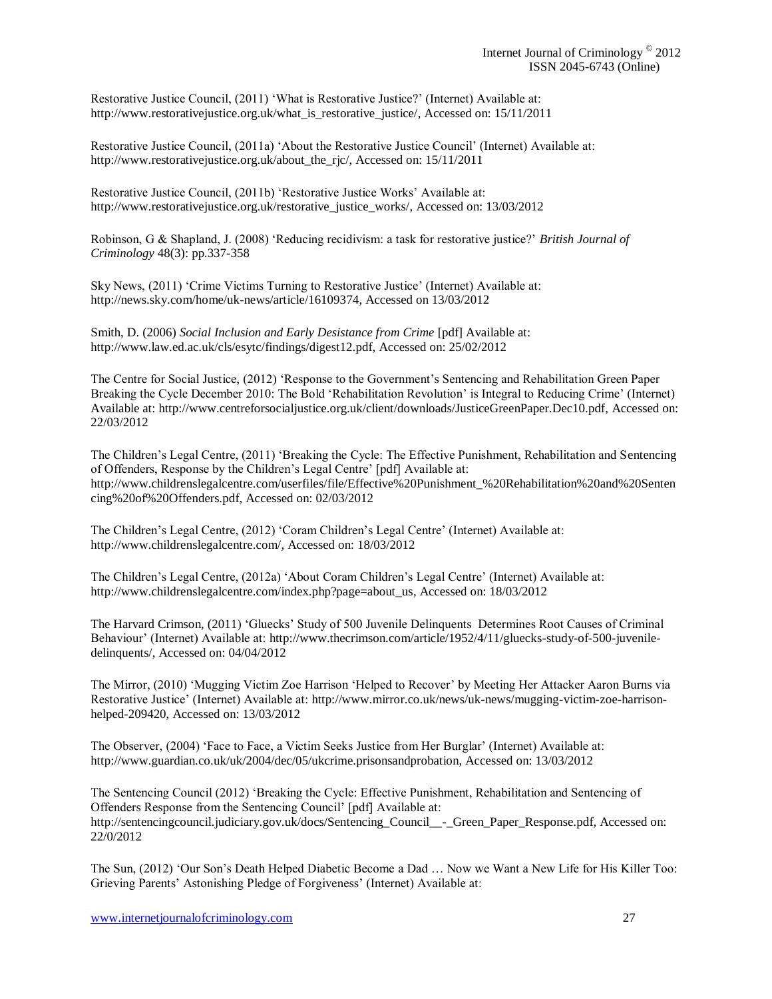Restorative Justice Council, (2011) 'What is Restorative Justice?' (Internet) Available at: http://www.restorativejustice.org.uk/what is restorative justice/, Accessed on:  $15/11/2011$ 

Restorative Justice Council, (2011a) 'About the Restorative Justice Council' (Internet) Available at: http://www.restorativejustice.org.uk/about\_the\_rjc/, Accessed on: 15/11/2011

Restorative Justice Council, (2011b) 'Restorative Justice Works' Available at: [http://www.restorativejustice.org.uk/restorative\\_justice\\_works/,](http://www.restorativejustice.org.uk/restorative_justice_works/) Accessed on: 13/03/2012

Robinson, G & Shapland, J. (2008) 'Reducing recidivism: a task for restorative justice?' *British Journal of Criminology* 48(3): pp.337-358

Sky News, (2011) 'Crime Victims Turning to Restorative Justice' (Internet) Available at: [http://news.sky.com/home/uk-news/article/16109374,](http://news.sky.com/home/uk-news/article/16109374) Accessed on 13/03/2012

Smith, D. (2006) *Social Inclusion and Early Desistance from Crime* [pdf] Available at: [http://www.law.ed.ac.uk/cls/esytc/findings/digest12.pdf,](http://www.law.ed.ac.uk/cls/esytc/findings/digest12.pdf) Accessed on: 25/02/2012

The Centre for Social Justice, (2012) 'Response to the Government's Sentencing and Rehabilitation Green Paper Breaking the Cycle December 2010: The Bold 'Rehabilitation Revolution' is Integral to Reducing Crime' (Internet) Available at: [http://www.centreforsocialjustice.org.uk/client/downloads/JusticeGreenPaper.Dec10.pdf,](http://www.centreforsocialjustice.org.uk/client/downloads/JusticeGreenPaper.Dec10.pdf) Accessed on: 22/03/2012

The Children's Legal Centre, (2011) 'Breaking the Cycle: The Effective Punishment, Rehabilitation and Sentencing of Offenders, Response by the Children's Legal Centre' [pdf] Available at: [http://www.childrenslegalcentre.com/userfiles/file/Effective%20Punishment\\_%20Rehabilitation%20and%20Senten](http://www.childrenslegalcentre.com/userfiles/file/Effective%20Punishment_%20Rehabilitation%20and%20Sentencing%20of%20Offenders.pdf) [cing%20of%20Offenders.pdf,](http://www.childrenslegalcentre.com/userfiles/file/Effective%20Punishment_%20Rehabilitation%20and%20Sentencing%20of%20Offenders.pdf) Accessed on: 02/03/2012

The Children's Legal Centre, (2012) 'Coram Children's Legal Centre' (Internet) Available at: [http://www.childrenslegalcentre.com/,](http://www.childrenslegalcentre.com/) Accessed on: 18/03/2012

The Children's Legal Centre, (2012a) 'About Coram Children's Legal Centre' (Internet) Available at: [http://www.childrenslegalcentre.com/index.php?page=about\\_us,](http://www.childrenslegalcentre.com/index.php?page=about_us) Accessed on: 18/03/2012

The Harvard Crimson, (2011) 'Gluecks' Study of 500 Juvenile Delinquents Determines Root Causes of Criminal Behaviour' (Internet) Available at[: http://www.thecrimson.com/article/1952/4/11/gluecks-study-of-500-juvenile](http://www.thecrimson.com/article/1952/4/11/gluecks-study-of-500-juvenile-delinquents/)[delinquents/,](http://www.thecrimson.com/article/1952/4/11/gluecks-study-of-500-juvenile-delinquents/) Accessed on: 04/04/2012

The Mirror, (2010) 'Mugging Victim Zoe Harrison 'Helped to Recover' by Meeting Her Attacker Aaron Burns via Restorative Justice' (Internet) Available at: [http://www.mirror.co.uk/news/uk-news/mugging-victim-zoe-harrison](http://www.mirror.co.uk/news/uk-news/mugging-victim-zoe-harrison-helped-209420)[helped-209420,](http://www.mirror.co.uk/news/uk-news/mugging-victim-zoe-harrison-helped-209420) Accessed on: 13/03/2012

The Observer, (2004) 'Face to Face, a Victim Seeks Justice from Her Burglar' (Internet) Available at: [http://www.guardian.co.uk/uk/2004/dec/05/ukcrime.prisonsandprobation,](http://www.guardian.co.uk/uk/2004/dec/05/ukcrime.prisonsandprobation) Accessed on: 13/03/2012

The Sentencing Council (2012) 'Breaking the Cycle: Effective Punishment, Rehabilitation and Sentencing of Offenders Response from the Sentencing Council' [pdf] Available at: http://sentencingcouncil.judiciary.gov.uk/docs/Sentencing Council - Green Paper Response.pdf, Accessed on: 22/0/2012

The Sun, (2012) 'Our Son's Death Helped Diabetic Become a Dad … Now we Want a New Life for His Killer Too: Grieving Parents' Astonishing Pledge of Forgiveness' (Internet) Available at: